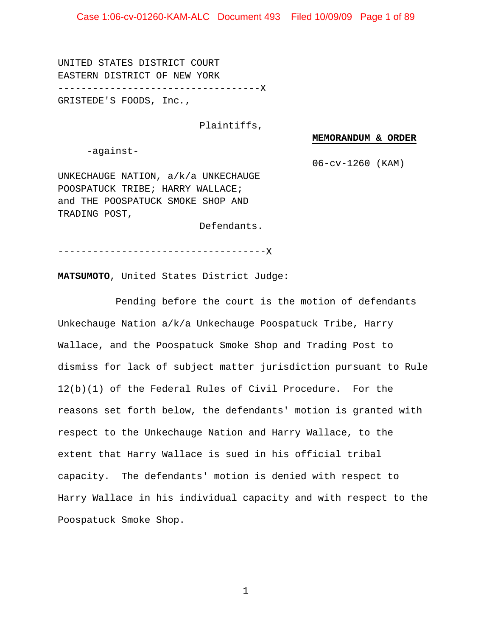UNITED STATES DISTRICT COURT EASTERN DISTRICT OF NEW YORK -----------------------------------X GRISTEDE'S FOODS, Inc*.*,

#### Plaintiffs,

#### **MEMORANDUM & ORDER**

-against-

06-cv-1260 (KAM)

UNKECHAUGE NATION, a/k/a UNKECHAUGE POOSPATUCK TRIBE; HARRY WALLACE; and THE POOSPATUCK SMOKE SHOP AND TRADING POST,

Defendants.

------------------------------------X

**MATSUMOTO**, United States District Judge:

Pending before the court is the motion of defendants Unkechauge Nation a/k/a Unkechauge Poospatuck Tribe, Harry Wallace, and the Poospatuck Smoke Shop and Trading Post to dismiss for lack of subject matter jurisdiction pursuant to Rule 12(b)(1) of the Federal Rules of Civil Procedure. For the reasons set forth below, the defendants' motion is granted with respect to the Unkechauge Nation and Harry Wallace, to the extent that Harry Wallace is sued in his official tribal capacity. The defendants' motion is denied with respect to Harry Wallace in his individual capacity and with respect to the Poospatuck Smoke Shop.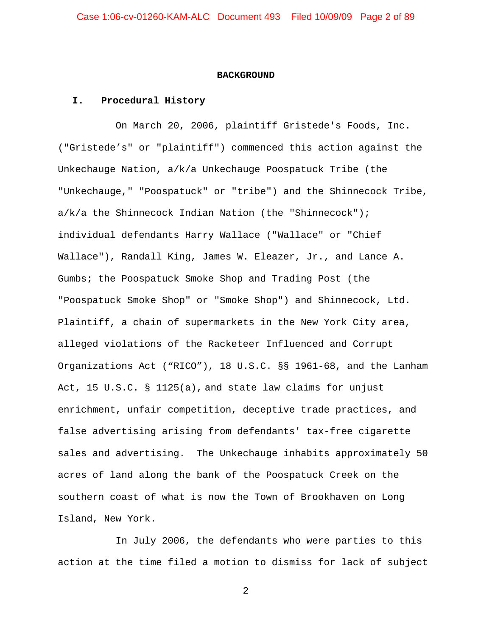#### **BACKGROUND**

#### **I. Procedural History**

On March 20, 2006, plaintiff Gristede's Foods, Inc. ("Gristede's" or "plaintiff") commenced this action against the Unkechauge Nation, a/k/a Unkechauge Poospatuck Tribe (the "Unkechauge," "Poospatuck" or "tribe") and the Shinnecock Tribe, a/k/a the Shinnecock Indian Nation (the "Shinnecock"); individual defendants Harry Wallace ("Wallace" or "Chief Wallace"), Randall King, James W. Eleazer, Jr., and Lance A. Gumbs; the Poospatuck Smoke Shop and Trading Post (the "Poospatuck Smoke Shop" or "Smoke Shop") and Shinnecock, Ltd. Plaintiff, a chain of supermarkets in the New York City area, alleged violations of the Racketeer Influenced and Corrupt Organizations Act ("RICO"), 18 U.S.C. §§ 1961-68, and the Lanham Act, 15 U.S.C. § 1125(a), and state law claims for unjust enrichment, unfair competition, deceptive trade practices, and false advertising arising from defendants' tax-free cigarette sales and advertising. The Unkechauge inhabits approximately 50 acres of land along the bank of the Poospatuck Creek on the southern coast of what is now the Town of Brookhaven on Long Island, New York.

In July 2006, the defendants who were parties to this action at the time filed a motion to dismiss for lack of subject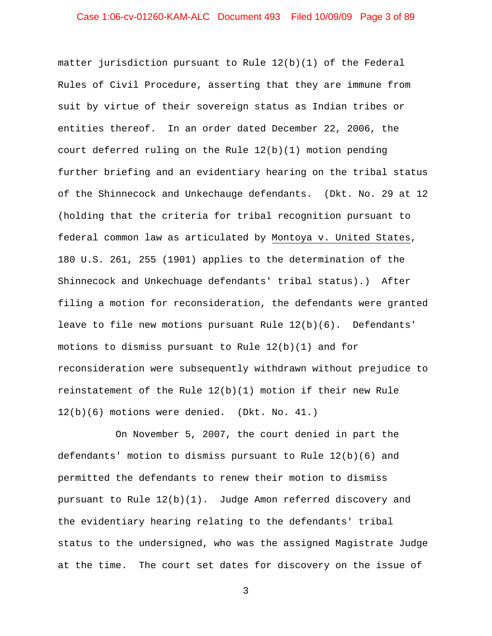matter jurisdiction pursuant to Rule 12(b)(1) of the Federal Rules of Civil Procedure, asserting that they are immune from suit by virtue of their sovereign status as Indian tribes or entities thereof. In an order dated December 22, 2006, the court deferred ruling on the Rule 12(b)(1) motion pending further briefing and an evidentiary hearing on the tribal status of the Shinnecock and Unkechauge defendants. (Dkt. No. 29 at 12 (holding that the criteria for tribal recognition pursuant to federal common law as articulated by Montoya v. United States, 180 U.S. 261, 255 (1901) applies to the determination of the Shinnecock and Unkechuage defendants' tribal status).) After filing a motion for reconsideration, the defendants were granted leave to file new motions pursuant Rule 12(b)(6). Defendants' motions to dismiss pursuant to Rule 12(b)(1) and for reconsideration were subsequently withdrawn without prejudice to reinstatement of the Rule 12(b)(1) motion if their new Rule 12(b)(6) motions were denied. (Dkt. No. 41.)

On November 5, 2007, the court denied in part the defendants' motion to dismiss pursuant to Rule 12(b)(6) and permitted the defendants to renew their motion to dismiss pursuant to Rule 12(b)(1). Judge Amon referred discovery and the evidentiary hearing relating to the defendants' tribal status to the undersigned, who was the assigned Magistrate Judge at the time. The court set dates for discovery on the issue of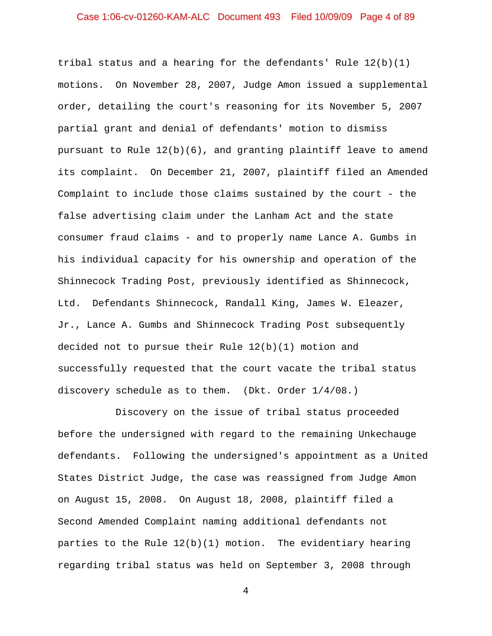# Case 1:06-cv-01260-KAM-ALC Document 493 Filed 10/09/09 Page 4 of 89

tribal status and a hearing for the defendants' Rule  $12(b)(1)$ motions. On November 28, 2007, Judge Amon issued a supplemental order, detailing the court's reasoning for its November 5, 2007 partial grant and denial of defendants' motion to dismiss pursuant to Rule  $12(b)(6)$ , and granting plaintiff leave to amend its complaint. On December 21, 2007, plaintiff filed an Amended Complaint to include those claims sustained by the court - the false advertising claim under the Lanham Act and the state consumer fraud claims - and to properly name Lance A. Gumbs in his individual capacity for his ownership and operation of the Shinnecock Trading Post, previously identified as Shinnecock, Ltd. Defendants Shinnecock, Randall King, James W. Eleazer, Jr., Lance A. Gumbs and Shinnecock Trading Post subsequently decided not to pursue their Rule  $12(b)(1)$  motion and successfully requested that the court vacate the tribal status discovery schedule as to them. (Dkt. Order 1/4/08.)

Discovery on the issue of tribal status proceeded before the undersigned with regard to the remaining Unkechauge defendants. Following the undersigned's appointment as a United States District Judge, the case was reassigned from Judge Amon on August 15, 2008. On August 18, 2008, plaintiff filed a Second Amended Complaint naming additional defendants not parties to the Rule 12(b)(1) motion. The evidentiary hearing regarding tribal status was held on September 3, 2008 through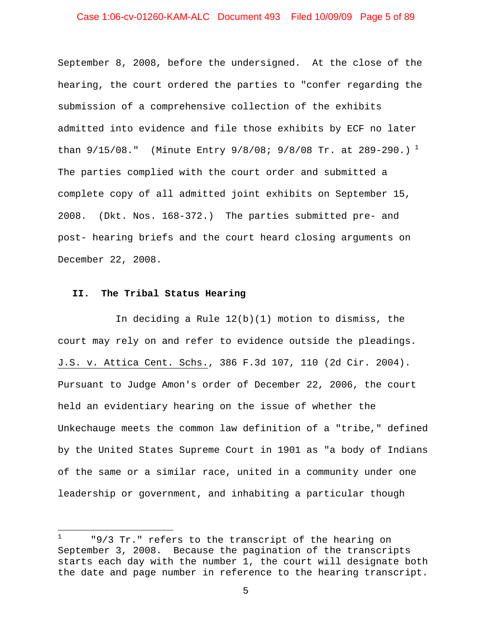# Case 1:06-cv-01260-KAM-ALC Document 493 Filed 10/09/09 Page 5 of 89

September 8, 2008, before the undersigned. At the close of the hearing, the court ordered the parties to "confer regarding the submission of a comprehensive collection of the exhibits admitted into evidence and file those exhibits by ECF no later than  $9/15/08$  $9/15/08$  $9/15/08$ ." (Minute Entry  $9/8/08$ ;  $9/8/08$  Tr. at  $289-290$ .)<sup>1</sup> The parties complied with the court order and submitted a complete copy of all admitted joint exhibits on September 15, 2008. (Dkt. Nos. 168-372.) The parties submitted pre- and post- hearing briefs and the court heard closing arguments on December 22, 2008.

#### **II. The Tribal Status Hearing**

 $\overline{\phantom{0}}$ 

In deciding a Rule 12(b)(1) motion to dismiss, the court may rely on and refer to evidence outside the pleadings. J.S. v. Attica Cent. Schs., 386 F.3d 107, 110 (2d Cir. 2004). Pursuant to Judge Amon's order of December 22, 2006, the court held an evidentiary hearing on the issue of whether the Unkechauge meets the common law definition of a "tribe," defined by the United States Supreme Court in 1901 as "a body of Indians of the same or a similar race, united in a community under one leadership or government, and inhabiting a particular though

<span id="page-4-0"></span><sup>1</sup> "9/3 Tr." refers to the transcript of the hearing on September 3, 2008. Because the pagination of the transcripts starts each day with the number 1, the court will designate both the date and page number in reference to the hearing transcript.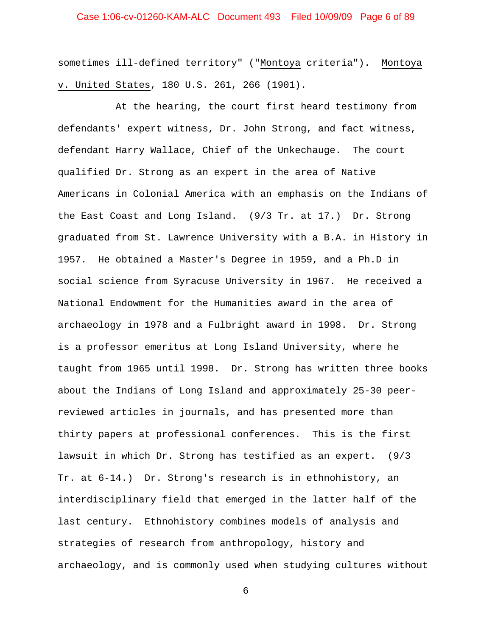# Case 1:06-cv-01260-KAM-ALC Document 493 Filed 10/09/09 Page 6 of 89

sometimes ill-defined territory" ("Montoya criteria"). Montoya v. United States, 180 U.S. 261, 266 (1901).

At the hearing, the court first heard testimony from defendants' expert witness, Dr. John Strong, and fact witness, defendant Harry Wallace, Chief of the Unkechauge. The court qualified Dr. Strong as an expert in the area of Native Americans in Colonial America with an emphasis on the Indians of the East Coast and Long Island. (9/3 Tr. at 17.) Dr. Strong graduated from St. Lawrence University with a B.A. in History in 1957. He obtained a Master's Degree in 1959, and a Ph.D in social science from Syracuse University in 1967. He received a National Endowment for the Humanities award in the area of archaeology in 1978 and a Fulbright award in 1998. Dr. Strong is a professor emeritus at Long Island University, where he taught from 1965 until 1998. Dr. Strong has written three books about the Indians of Long Island and approximately 25-30 peerreviewed articles in journals, and has presented more than thirty papers at professional conferences. This is the first lawsuit in which Dr. Strong has testified as an expert. (9/3 Tr. at 6-14.) Dr. Strong's research is in ethnohistory, an interdisciplinary field that emerged in the latter half of the last century. Ethnohistory combines models of analysis and strategies of research from anthropology, history and archaeology, and is commonly used when studying cultures without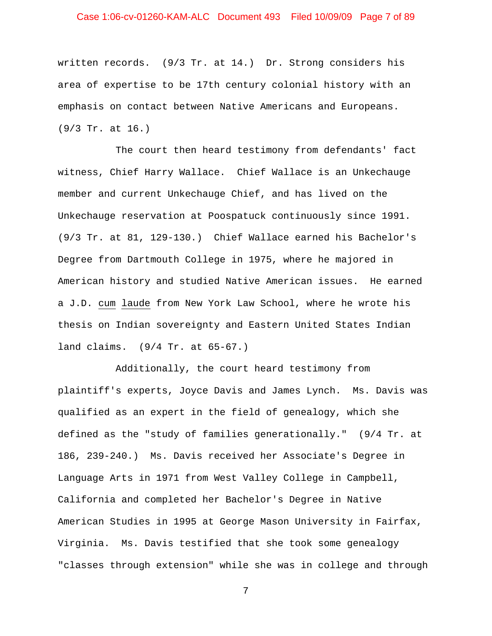# Case 1:06-cv-01260-KAM-ALC Document 493 Filed 10/09/09 Page 7 of 89

written records. (9/3 Tr. at 14.) Dr. Strong considers his area of expertise to be 17th century colonial history with an emphasis on contact between Native Americans and Europeans. (9/3 Tr. at 16.)

The court then heard testimony from defendants' fact witness, Chief Harry Wallace. Chief Wallace is an Unkechauge member and current Unkechauge Chief, and has lived on the Unkechauge reservation at Poospatuck continuously since 1991. (9/3 Tr. at 81, 129-130.) Chief Wallace earned his Bachelor's Degree from Dartmouth College in 1975, where he majored in American history and studied Native American issues. He earned a J.D. cum laude from New York Law School, where he wrote his thesis on Indian sovereignty and Eastern United States Indian land claims. (9/4 Tr. at 65-67.)

Additionally, the court heard testimony from plaintiff's experts, Joyce Davis and James Lynch. Ms. Davis was qualified as an expert in the field of genealogy, which she defined as the "study of families generationally." (9/4 Tr. at 186, 239-240.) Ms. Davis received her Associate's Degree in Language Arts in 1971 from West Valley College in Campbell, California and completed her Bachelor's Degree in Native American Studies in 1995 at George Mason University in Fairfax, Virginia. Ms. Davis testified that she took some genealogy "classes through extension" while she was in college and through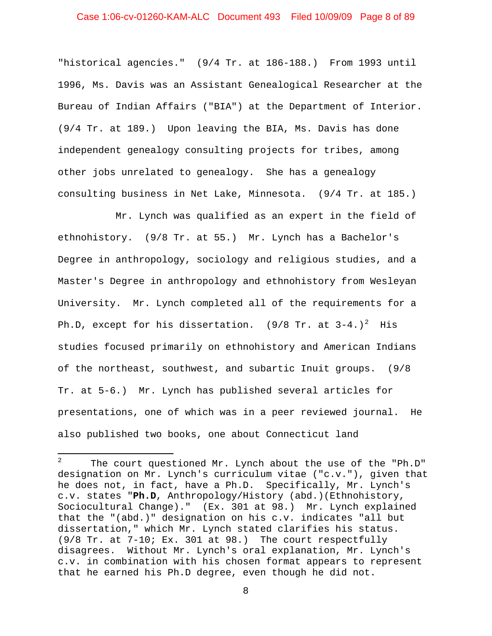# Case 1:06-cv-01260-KAM-ALC Document 493 Filed 10/09/09 Page 8 of 89

"historical agencies." (9/4 Tr. at 186-188.) From 1993 until 1996, Ms. Davis was an Assistant Genealogical Researcher at the Bureau of Indian Affairs ("BIA") at the Department of Interior. (9/4 Tr. at 189.) Upon leaving the BIA, Ms. Davis has done independent genealogy consulting projects for tribes, among other jobs unrelated to genealogy. She has a genealogy consulting business in Net Lake, Minnesota. (9/4 Tr. at 185.)

Mr. Lynch was qualified as an expert in the field of ethnohistory. (9/8 Tr. at 55.) Mr. Lynch has a Bachelor's Degree in anthropology, sociology and religious studies, and a Master's Degree in anthropology and ethnohistory from Wesleyan University. Mr. Lynch completed all of the requirements for a Ph.D, except for his dissertation. (9/8 Tr. at 3-4.)<sup>[2](#page-7-0)</sup> His studies focused primarily on ethnohistory and American Indians of the northeast, southwest, and subartic Inuit groups. (9/8 Tr. at 5-6.) Mr. Lynch has published several articles for presentations, one of which was in a peer reviewed journal. He also published two books, one about Connecticut land

l

<span id="page-7-0"></span><sup>2</sup> The court questioned Mr. Lynch about the use of the "Ph.D" designation on Mr. Lynch's curriculum vitae ("c.v."), given that he does not, in fact, have a Ph.D. Specifically, Mr. Lynch's c.v. states "**Ph.D**, Anthropology/History (abd.)(Ethnohistory, Sociocultural Change)." (Ex. 301 at 98.) Mr. Lynch explained that the "(abd.)" designation on his c.v. indicates "all but dissertation," which Mr. Lynch stated clarifies his status. (9/8 Tr. at 7-10; Ex. 301 at 98.) The court respectfully disagrees. Without Mr. Lynch's oral explanation, Mr. Lynch's c.v. in combination with his chosen format appears to represent that he earned his Ph.D degree, even though he did not.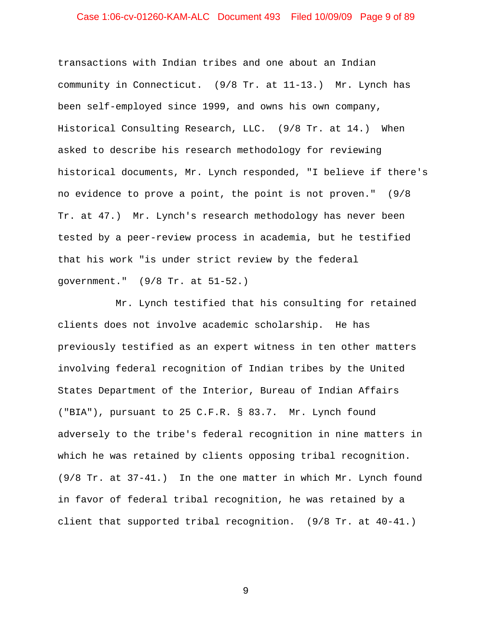# Case 1:06-cv-01260-KAM-ALC Document 493 Filed 10/09/09 Page 9 of 89

transactions with Indian tribes and one about an Indian community in Connecticut. (9/8 Tr. at 11-13.) Mr. Lynch has been self-employed since 1999, and owns his own company, Historical Consulting Research, LLC. (9/8 Tr. at 14.) When asked to describe his research methodology for reviewing historical documents, Mr. Lynch responded, "I believe if there's no evidence to prove a point, the point is not proven." (9/8 Tr. at 47.) Mr. Lynch's research methodology has never been tested by a peer-review process in academia, but he testified that his work "is under strict review by the federal government." (9/8 Tr. at 51-52.)

Mr. Lynch testified that his consulting for retained clients does not involve academic scholarship. He has previously testified as an expert witness in ten other matters involving federal recognition of Indian tribes by the United States Department of the Interior, Bureau of Indian Affairs ("BIA"), pursuant to 25 C.F.R. § 83.7. Mr. Lynch found adversely to the tribe's federal recognition in nine matters in which he was retained by clients opposing tribal recognition. (9/8 Tr. at 37-41.) In the one matter in which Mr. Lynch found in favor of federal tribal recognition, he was retained by a client that supported tribal recognition. (9/8 Tr. at 40-41.)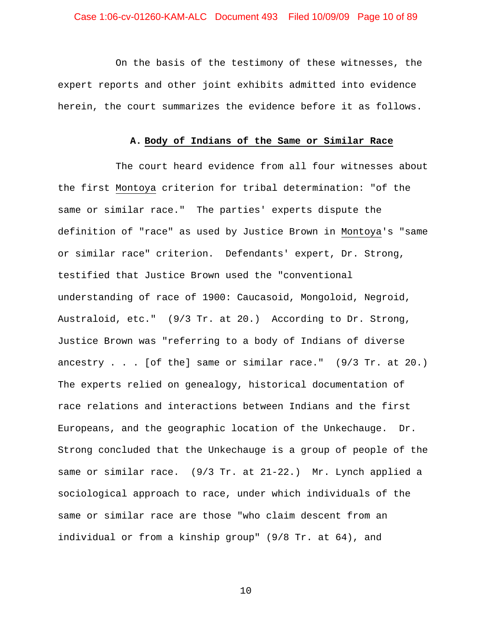# Case 1:06-cv-01260-KAM-ALC Document 493 Filed 10/09/09 Page 10 of 89

On the basis of the testimony of these witnesses, the expert reports and other joint exhibits admitted into evidence herein, the court summarizes the evidence before it as follows.

#### **A. Body of Indians of the Same or Similar Race**

The court heard evidence from all four witnesses about the first Montoya criterion for tribal determination: "of the same or similar race." The parties' experts dispute the definition of "race" as used by Justice Brown in Montoya's "same or similar race" criterion. Defendants' expert, Dr. Strong, testified that Justice Brown used the "conventional understanding of race of 1900: Caucasoid, Mongoloid, Negroid, Australoid, etc." (9/3 Tr. at 20.) According to Dr. Strong, Justice Brown was "referring to a body of Indians of diverse ancestry . . . [of the] same or similar race." (9/3 Tr. at 20.) The experts relied on genealogy, historical documentation of race relations and interactions between Indians and the first Europeans, and the geographic location of the Unkechauge. Dr. Strong concluded that the Unkechauge is a group of people of the same or similar race. (9/3 Tr. at 21-22.) Mr. Lynch applied a sociological approach to race, under which individuals of the same or similar race are those "who claim descent from an individual or from a kinship group" (9/8 Tr. at 64), and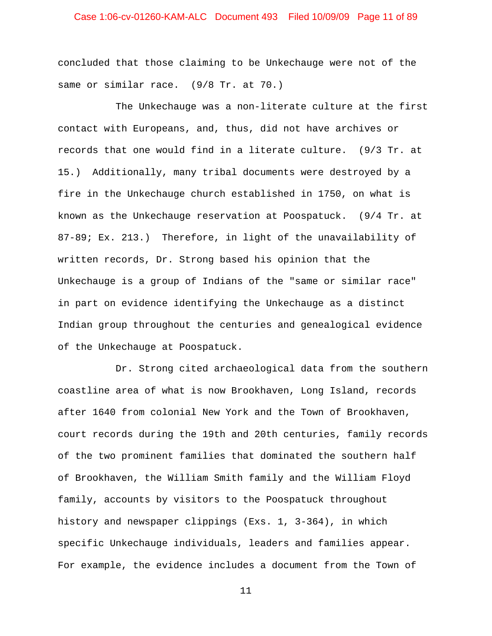# Case 1:06-cv-01260-KAM-ALC Document 493 Filed 10/09/09 Page 11 of 89

concluded that those claiming to be Unkechauge were not of the same or similar race. (9/8 Tr. at 70.)

The Unkechauge was a non-literate culture at the first contact with Europeans, and, thus, did not have archives or records that one would find in a literate culture. (9/3 Tr. at 15.) Additionally, many tribal documents were destroyed by a fire in the Unkechauge church established in 1750, on what is known as the Unkechauge reservation at Poospatuck. (9/4 Tr. at 87-89; Ex. 213.) Therefore, in light of the unavailability of written records, Dr. Strong based his opinion that the Unkechauge is a group of Indians of the "same or similar race" in part on evidence identifying the Unkechauge as a distinct Indian group throughout the centuries and genealogical evidence of the Unkechauge at Poospatuck.

Dr. Strong cited archaeological data from the southern coastline area of what is now Brookhaven, Long Island, records after 1640 from colonial New York and the Town of Brookhaven, court records during the 19th and 20th centuries, family records of the two prominent families that dominated the southern half of Brookhaven, the William Smith family and the William Floyd family, accounts by visitors to the Poospatuck throughout history and newspaper clippings (Exs. 1, 3-364), in which specific Unkechauge individuals, leaders and families appear. For example, the evidence includes a document from the Town of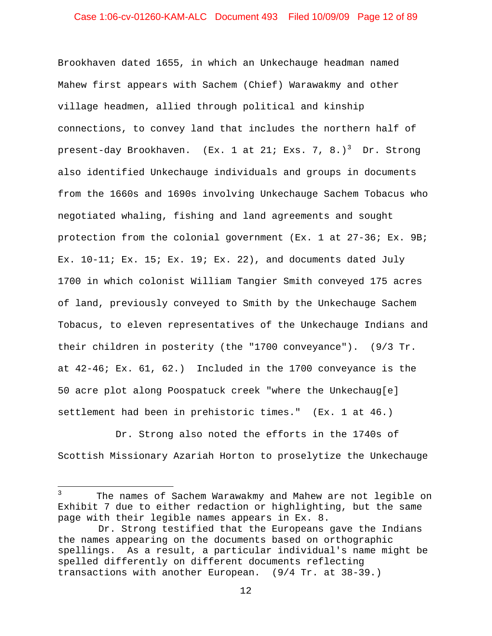# Case 1:06-cv-01260-KAM-ALC Document 493 Filed 10/09/09 Page 12 of 89

Brookhaven dated 1655, in which an Unkechauge headman named Mahew first appears with Sachem (Chief) Warawakmy and other village headmen, allied through political and kinship connections, to convey land that includes the northern half of present-day Brookhaven. (Ex. 1 at 21; Exs. 7, 8.)<sup>[3](#page-11-0)</sup> Dr. Strong also identified Unkechauge individuals and groups in documents from the 1660s and 1690s involving Unkechauge Sachem Tobacus who negotiated whaling, fishing and land agreements and sought protection from the colonial government (Ex. 1 at 27-36; Ex. 9B; Ex. 10-11; Ex. 15; Ex. 19; Ex. 22), and documents dated July 1700 in which colonist William Tangier Smith conveyed 175 acres of land, previously conveyed to Smith by the Unkechauge Sachem Tobacus, to eleven representatives of the Unkechauge Indians and their children in posterity (the "1700 conveyance"). (9/3 Tr. at 42-46; Ex. 61, 62.) Included in the 1700 conveyance is the 50 acre plot along Poospatuck creek "where the Unkechaug[e] settlement had been in prehistoric times." (Ex. 1 at 46.)

Dr. Strong also noted the efforts in the 1740s of Scottish Missionary Azariah Horton to proselytize the Unkechauge

 $\overline{\phantom{0}}$ 

<span id="page-11-0"></span><sup>3</sup> The names of Sachem Warawakmy and Mahew are not legible on Exhibit 7 due to either redaction or highlighting, but the same page with their legible names appears in Ex. 8.

Dr. Strong testified that the Europeans gave the Indians the names appearing on the documents based on orthographic spellings. As a result, a particular individual's name might be spelled differently on different documents reflecting transactions with another European. (9/4 Tr. at 38-39.)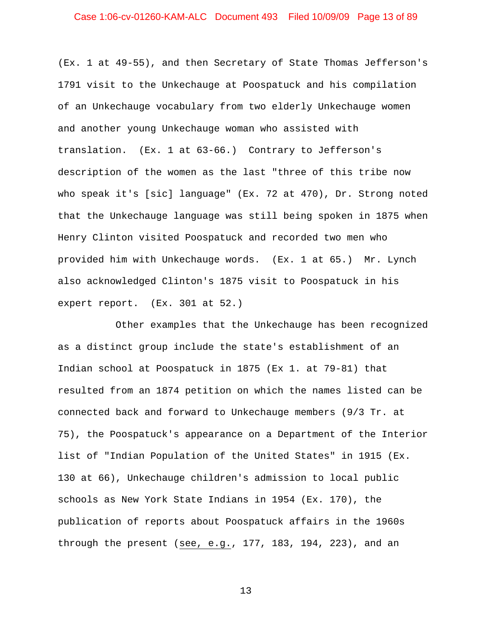# Case 1:06-cv-01260-KAM-ALC Document 493 Filed 10/09/09 Page 13 of 89

(Ex. 1 at 49-55), and then Secretary of State Thomas Jefferson's 1791 visit to the Unkechauge at Poospatuck and his compilation of an Unkechauge vocabulary from two elderly Unkechauge women and another young Unkechauge woman who assisted with translation. (Ex. 1 at 63-66.) Contrary to Jefferson's description of the women as the last "three of this tribe now who speak it's [sic] language" (Ex. 72 at 470), Dr. Strong noted that the Unkechauge language was still being spoken in 1875 when Henry Clinton visited Poospatuck and recorded two men who provided him with Unkechauge words. (Ex. 1 at 65.) Mr. Lynch also acknowledged Clinton's 1875 visit to Poospatuck in his expert report. (Ex. 301 at 52.)

Other examples that the Unkechauge has been recognized as a distinct group include the state's establishment of an Indian school at Poospatuck in 1875 (Ex 1. at 79-81) that resulted from an 1874 petition on which the names listed can be connected back and forward to Unkechauge members (9/3 Tr. at 75), the Poospatuck's appearance on a Department of the Interior list of "Indian Population of the United States" in 1915 (Ex. 130 at 66), Unkechauge children's admission to local public schools as New York State Indians in 1954 (Ex. 170), the publication of reports about Poospatuck affairs in the 1960s through the present (see, e.g., 177, 183, 194, 223), and an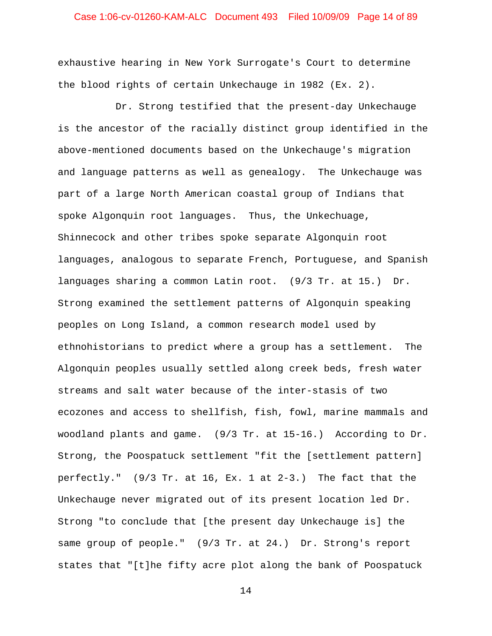# Case 1:06-cv-01260-KAM-ALC Document 493 Filed 10/09/09 Page 14 of 89

exhaustive hearing in New York Surrogate's Court to determine the blood rights of certain Unkechauge in 1982 (Ex. 2).

Dr. Strong testified that the present-day Unkechauge is the ancestor of the racially distinct group identified in the above-mentioned documents based on the Unkechauge's migration and language patterns as well as genealogy. The Unkechauge was part of a large North American coastal group of Indians that spoke Algonquin root languages. Thus, the Unkechuage, Shinnecock and other tribes spoke separate Algonquin root languages, analogous to separate French, Portuguese, and Spanish languages sharing a common Latin root. (9/3 Tr. at 15.) Dr. Strong examined the settlement patterns of Algonquin speaking peoples on Long Island, a common research model used by ethnohistorians to predict where a group has a settlement. The Algonquin peoples usually settled along creek beds, fresh water streams and salt water because of the inter-stasis of two ecozones and access to shellfish, fish, fowl, marine mammals and woodland plants and game. (9/3 Tr. at 15-16.) According to Dr. Strong, the Poospatuck settlement "fit the [settlement pattern] perfectly." (9/3 Tr. at 16, Ex. 1 at 2-3.) The fact that the Unkechauge never migrated out of its present location led Dr. Strong "to conclude that [the present day Unkechauge is] the same group of people." (9/3 Tr. at 24.) Dr. Strong's report states that "[t]he fifty acre plot along the bank of Poospatuck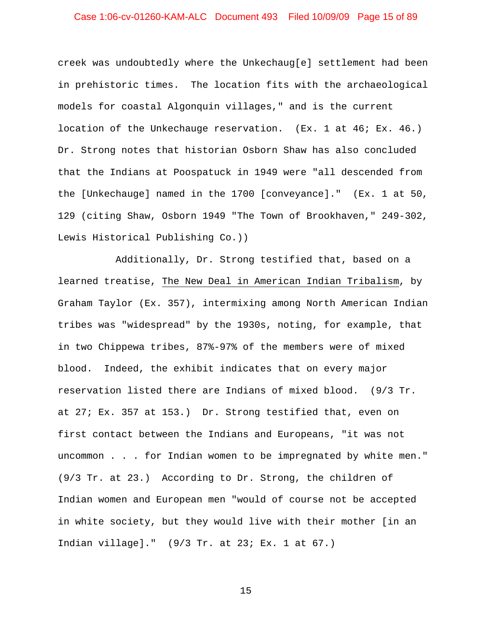# Case 1:06-cv-01260-KAM-ALC Document 493 Filed 10/09/09 Page 15 of 89

creek was undoubtedly where the Unkechaug[e] settlement had been in prehistoric times. The location fits with the archaeological models for coastal Algonquin villages," and is the current location of the Unkechauge reservation. (Ex. 1 at 46; Ex. 46.) Dr. Strong notes that historian Osborn Shaw has also concluded that the Indians at Poospatuck in 1949 were "all descended from the [Unkechauge] named in the 1700 [conveyance]." (Ex. 1 at 50, 129 (citing Shaw, Osborn 1949 "The Town of Brookhaven," 249-302, Lewis Historical Publishing Co.))

Additionally, Dr. Strong testified that, based on a learned treatise, The New Deal in American Indian Tribalism, by Graham Taylor (Ex. 357), intermixing among North American Indian tribes was "widespread" by the 1930s, noting, for example, that in two Chippewa tribes, 87%-97% of the members were of mixed blood. Indeed, the exhibit indicates that on every major reservation listed there are Indians of mixed blood. (9/3 Tr. at 27; Ex. 357 at 153.) Dr. Strong testified that, even on first contact between the Indians and Europeans, "it was not uncommon . . . for Indian women to be impregnated by white men." (9/3 Tr. at 23.) According to Dr. Strong, the children of Indian women and European men "would of course not be accepted in white society, but they would live with their mother [in an Indian village]." (9/3 Tr. at 23; Ex. 1 at 67.)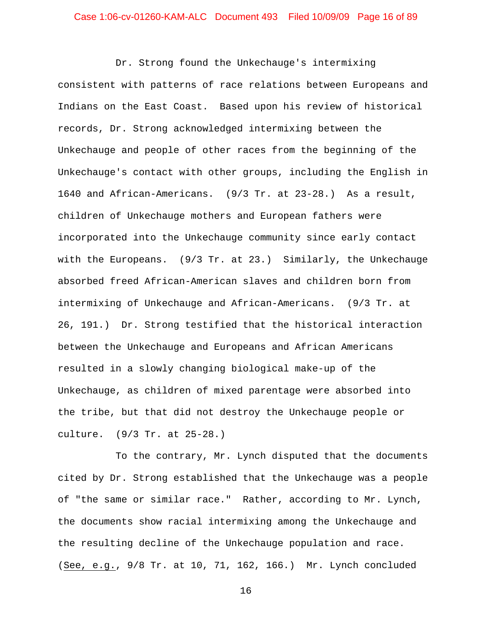Dr. Strong found the Unkechauge's intermixing consistent with patterns of race relations between Europeans and Indians on the East Coast. Based upon his review of historical records, Dr. Strong acknowledged intermixing between the Unkechauge and people of other races from the beginning of the Unkechauge's contact with other groups, including the English in 1640 and African-Americans. (9/3 Tr. at 23-28.) As a result, children of Unkechauge mothers and European fathers were incorporated into the Unkechauge community since early contact with the Europeans. (9/3 Tr. at 23.) Similarly, the Unkechauge absorbed freed African-American slaves and children born from intermixing of Unkechauge and African-Americans. (9/3 Tr. at 26, 191.) Dr. Strong testified that the historical interaction between the Unkechauge and Europeans and African Americans resulted in a slowly changing biological make-up of the Unkechauge, as children of mixed parentage were absorbed into the tribe, but that did not destroy the Unkechauge people or culture. (9/3 Tr. at 25-28.)

To the contrary, Mr. Lynch disputed that the documents cited by Dr. Strong established that the Unkechauge was a people of "the same or similar race." Rather, according to Mr. Lynch, the documents show racial intermixing among the Unkechauge and the resulting decline of the Unkechauge population and race. (See, e.g., 9/8 Tr. at 10, 71, 162, 166.) Mr. Lynch concluded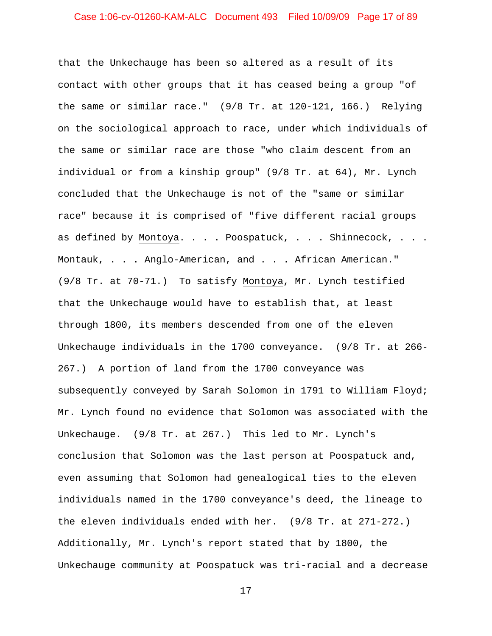# Case 1:06-cv-01260-KAM-ALC Document 493 Filed 10/09/09 Page 17 of 89

that the Unkechauge has been so altered as a result of its contact with other groups that it has ceased being a group "of the same or similar race." (9/8 Tr. at 120-121, 166.) Relying on the sociological approach to race, under which individuals of the same or similar race are those "who claim descent from an individual or from a kinship group" (9/8 Tr. at 64), Mr. Lynch concluded that the Unkechauge is not of the "same or similar race" because it is comprised of "five different racial groups as defined by Montoya. . . . Poospatuck, . . . Shinnecock, . . . Montauk, . . . Anglo-American, and . . . African American." (9/8 Tr. at 70-71.) To satisfy Montoya, Mr. Lynch testified that the Unkechauge would have to establish that, at least through 1800, its members descended from one of the eleven Unkechauge individuals in the 1700 conveyance. (9/8 Tr. at 266- 267.) A portion of land from the 1700 conveyance was subsequently conveyed by Sarah Solomon in 1791 to William Floyd; Mr. Lynch found no evidence that Solomon was associated with the Unkechauge. (9/8 Tr. at 267.) This led to Mr. Lynch's conclusion that Solomon was the last person at Poospatuck and, even assuming that Solomon had genealogical ties to the eleven individuals named in the 1700 conveyance's deed, the lineage to the eleven individuals ended with her. (9/8 Tr. at 271-272.) Additionally, Mr. Lynch's report stated that by 1800, the Unkechauge community at Poospatuck was tri-racial and a decrease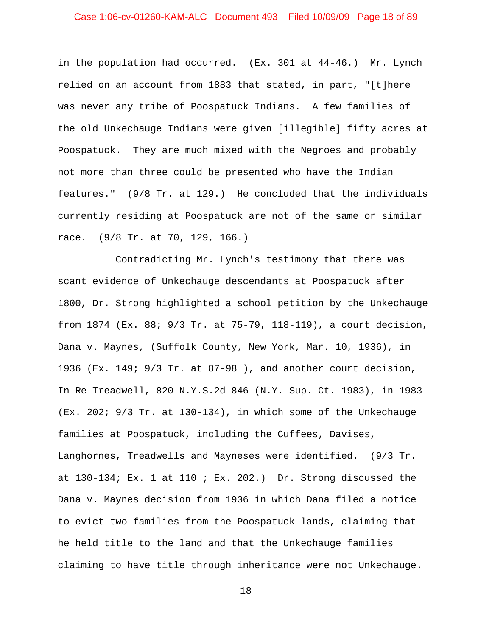# Case 1:06-cv-01260-KAM-ALC Document 493 Filed 10/09/09 Page 18 of 89

in the population had occurred. (Ex. 301 at 44-46.) Mr. Lynch relied on an account from 1883 that stated, in part, "[t]here was never any tribe of Poospatuck Indians. A few families of the old Unkechauge Indians were given [illegible] fifty acres at Poospatuck. They are much mixed with the Negroes and probably not more than three could be presented who have the Indian features." (9/8 Tr. at 129.) He concluded that the individuals currently residing at Poospatuck are not of the same or similar race. (9/8 Tr. at 70, 129, 166.)

Contradicting Mr. Lynch's testimony that there was scant evidence of Unkechauge descendants at Poospatuck after 1800, Dr. Strong highlighted a school petition by the Unkechauge from 1874 (Ex. 88; 9/3 Tr. at 75-79, 118-119), a court decision, Dana v. Maynes, (Suffolk County, New York, Mar. 10, 1936), in 1936 (Ex. 149; 9/3 Tr. at 87-98 ), and another court decision, In Re Treadwell, 820 N.Y.S.2d 846 (N.Y. Sup. Ct. 1983), in 1983 (Ex. 202; 9/3 Tr. at 130-134), in which some of the Unkechauge families at Poospatuck, including the Cuffees, Davises, Langhornes, Treadwells and Mayneses were identified. (9/3 Tr. at  $130-134$ ; Ex. 1 at  $110$ ; Ex.  $202$ .) Dr. Strong discussed the Dana v. Maynes decision from 1936 in which Dana filed a notice to evict two families from the Poospatuck lands, claiming that he held title to the land and that the Unkechauge families claiming to have title through inheritance were not Unkechauge.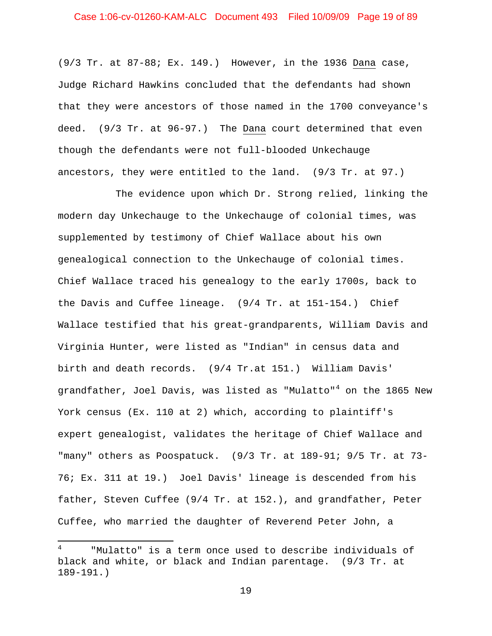# Case 1:06-cv-01260-KAM-ALC Document 493 Filed 10/09/09 Page 19 of 89

(9/3 Tr. at 87-88; Ex. 149.) However, in the 1936 Dana case, Judge Richard Hawkins concluded that the defendants had shown that they were ancestors of those named in the 1700 conveyance's deed. (9/3 Tr. at 96-97.) The Dana court determined that even though the defendants were not full-blooded Unkechauge ancestors, they were entitled to the land. (9/3 Tr. at 97.)

The evidence upon which Dr. Strong relied, linking the modern day Unkechauge to the Unkechauge of colonial times, was supplemented by testimony of Chief Wallace about his own genealogical connection to the Unkechauge of colonial times. Chief Wallace traced his genealogy to the early 1700s, back to the Davis and Cuffee lineage. (9/4 Tr. at 151-154.) Chief Wallace testified that his great-grandparents, William Davis and Virginia Hunter, were listed as "Indian" in census data and birth and death records. (9/4 Tr.at 151.) William Davis' grandfather, Joel Davis, was listed as "Mulatto"<sup>[4](#page-18-0)</sup> on the 1865 New York census (Ex. 110 at 2) which, according to plaintiff's expert genealogist, validates the heritage of Chief Wallace and "many" others as Poospatuck. (9/3 Tr. at 189-91; 9/5 Tr. at 73- 76; Ex. 311 at 19.) Joel Davis' lineage is descended from his father, Steven Cuffee (9/4 Tr. at 152.), and grandfather, Peter Cuffee, who married the daughter of Reverend Peter John, a

 $\overline{\phantom{0}}$ 

<span id="page-18-0"></span><sup>4</sup> "Mulatto" is a term once used to describe individuals of black and white, or black and Indian parentage. (9/3 Tr. at 189-191.)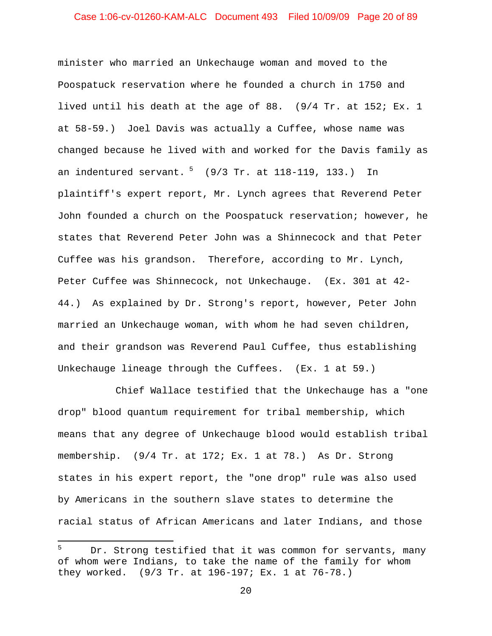# Case 1:06-cv-01260-KAM-ALC Document 493 Filed 10/09/09 Page 20 of 89

minister who married an Unkechauge woman and moved to the Poospatuck reservation where he founded a church in 1750 and lived until his death at the age of 88. (9/4 Tr. at 152; Ex. 1 at 58-59.) Joel Davis was actually a Cuffee, whose name was changed because he lived with and worked for the Davis family as an indentured servant. <sup>[5](#page-19-0)</sup> (9/3 Tr. at 118-119, 133.) In plaintiff's expert report, Mr. Lynch agrees that Reverend Peter John founded a church on the Poospatuck reservation; however, he states that Reverend Peter John was a Shinnecock and that Peter Cuffee was his grandson. Therefore, according to Mr. Lynch, Peter Cuffee was Shinnecock, not Unkechauge. (Ex. 301 at 42- 44.) As explained by Dr. Strong's report, however, Peter John married an Unkechauge woman, with whom he had seven children, and their grandson was Reverend Paul Cuffee, thus establishing Unkechauge lineage through the Cuffees. (Ex. 1 at 59.)

Chief Wallace testified that the Unkechauge has a "one drop" blood quantum requirement for tribal membership, which means that any degree of Unkechauge blood would establish tribal membership. (9/4 Tr. at 172; Ex. 1 at 78.) As Dr. Strong states in his expert report, the "one drop" rule was also used by Americans in the southern slave states to determine the racial status of African Americans and later Indians, and those

 $\overline{\phantom{0}}$ 

<span id="page-19-0"></span><sup>5</sup> Dr. Strong testified that it was common for servants, many of whom were Indians, to take the name of the family for whom they worked. (9/3 Tr. at 196-197; Ex. 1 at 76-78.)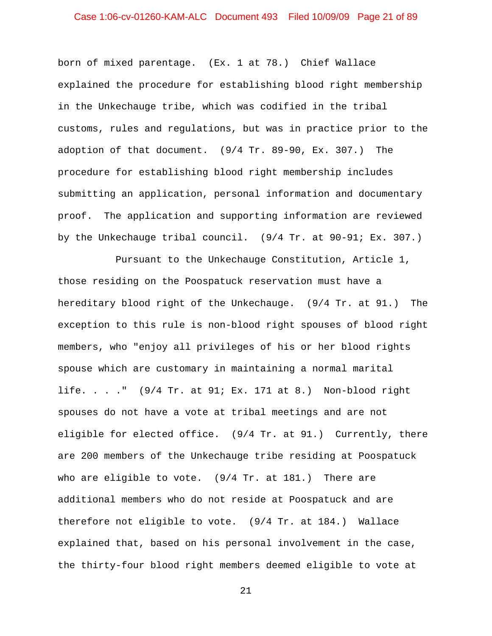# Case 1:06-cv-01260-KAM-ALC Document 493 Filed 10/09/09 Page 21 of 89

born of mixed parentage. (Ex. 1 at 78.) Chief Wallace explained the procedure for establishing blood right membership in the Unkechauge tribe, which was codified in the tribal customs, rules and regulations, but was in practice prior to the adoption of that document. (9/4 Tr. 89-90, Ex. 307.) The procedure for establishing blood right membership includes submitting an application, personal information and documentary proof. The application and supporting information are reviewed by the Unkechauge tribal council. (9/4 Tr. at 90-91; Ex. 307.)

Pursuant to the Unkechauge Constitution, Article 1, those residing on the Poospatuck reservation must have a hereditary blood right of the Unkechauge. (9/4 Tr. at 91.) The exception to this rule is non-blood right spouses of blood right members, who "enjoy all privileges of his or her blood rights spouse which are customary in maintaining a normal marital life. . . ." (9/4 Tr. at 91; Ex. 171 at 8.) Non-blood right spouses do not have a vote at tribal meetings and are not eligible for elected office. (9/4 Tr. at 91.) Currently, there are 200 members of the Unkechauge tribe residing at Poospatuck who are eligible to vote. (9/4 Tr. at 181.) There are additional members who do not reside at Poospatuck and are therefore not eligible to vote. (9/4 Tr. at 184.) Wallace explained that, based on his personal involvement in the case, the thirty-four blood right members deemed eligible to vote at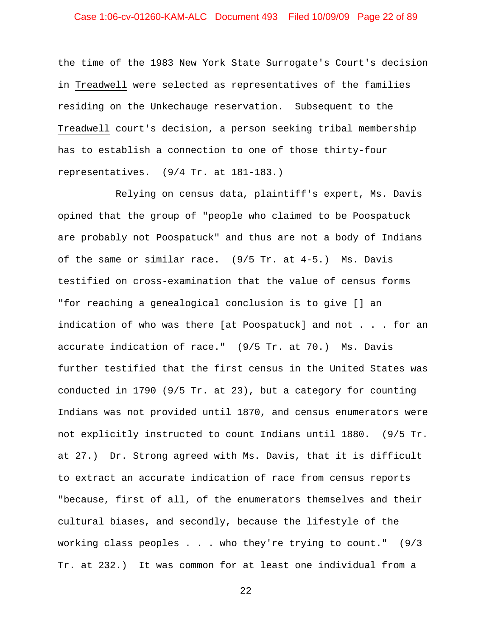# Case 1:06-cv-01260-KAM-ALC Document 493 Filed 10/09/09 Page 22 of 89

the time of the 1983 New York State Surrogate's Court's decision in Treadwell were selected as representatives of the families residing on the Unkechauge reservation. Subsequent to the Treadwell court's decision, a person seeking tribal membership has to establish a connection to one of those thirty-four representatives. (9/4 Tr. at 181-183.)

Relying on census data, plaintiff's expert, Ms. Davis opined that the group of "people who claimed to be Poospatuck are probably not Poospatuck" and thus are not a body of Indians of the same or similar race. (9/5 Tr. at 4-5.) Ms. Davis testified on cross-examination that the value of census forms "for reaching a genealogical conclusion is to give [] an indication of who was there [at Poospatuck] and not . . . for an accurate indication of race." (9/5 Tr. at 70.) Ms. Davis further testified that the first census in the United States was conducted in 1790 (9/5 Tr. at 23), but a category for counting Indians was not provided until 1870, and census enumerators were not explicitly instructed to count Indians until 1880. (9/5 Tr. at 27.) Dr. Strong agreed with Ms. Davis, that it is difficult to extract an accurate indication of race from census reports "because, first of all, of the enumerators themselves and their cultural biases, and secondly, because the lifestyle of the working class peoples . . . who they're trying to count." (9/3 Tr. at 232.) It was common for at least one individual from a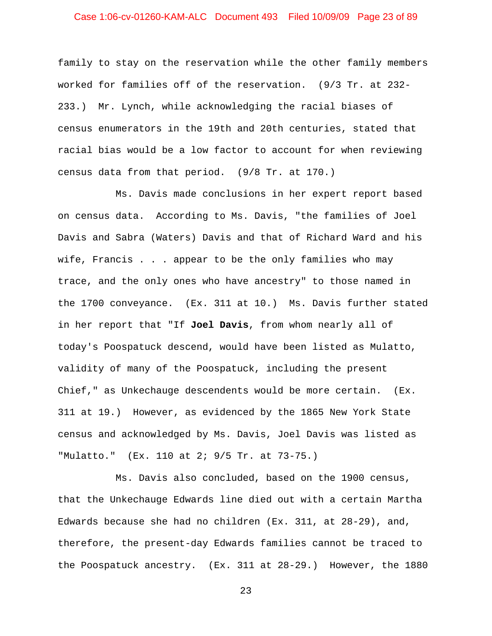# Case 1:06-cv-01260-KAM-ALC Document 493 Filed 10/09/09 Page 23 of 89

family to stay on the reservation while the other family members worked for families off of the reservation. (9/3 Tr. at 232- 233.) Mr. Lynch, while acknowledging the racial biases of census enumerators in the 19th and 20th centuries, stated that racial bias would be a low factor to account for when reviewing census data from that period. (9/8 Tr. at 170.)

Ms. Davis made conclusions in her expert report based on census data. According to Ms. Davis, "the families of Joel Davis and Sabra (Waters) Davis and that of Richard Ward and his wife, Francis . . . appear to be the only families who may trace, and the only ones who have ancestry" to those named in the 1700 conveyance. (Ex. 311 at 10.) Ms. Davis further stated in her report that "If **Joel Davis**, from whom nearly all of today's Poospatuck descend, would have been listed as Mulatto, validity of many of the Poospatuck, including the present Chief," as Unkechauge descendents would be more certain. (Ex. 311 at 19.) However, as evidenced by the 1865 New York State census and acknowledged by Ms. Davis, Joel Davis was listed as "Mulatto." (Ex. 110 at 2; 9/5 Tr. at 73-75.)

Ms. Davis also concluded, based on the 1900 census, that the Unkechauge Edwards line died out with a certain Martha Edwards because she had no children (Ex. 311, at 28-29), and, therefore, the present-day Edwards families cannot be traced to the Poospatuck ancestry. (Ex. 311 at 28-29.) However, the 1880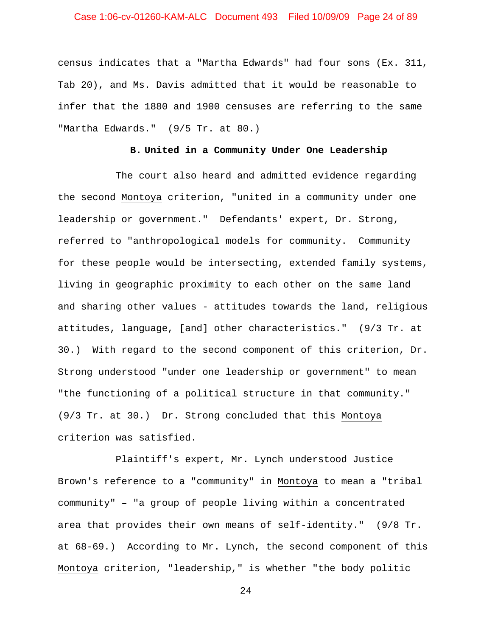# Case 1:06-cv-01260-KAM-ALC Document 493 Filed 10/09/09 Page 24 of 89

census indicates that a "Martha Edwards" had four sons (Ex. 311, Tab 20), and Ms. Davis admitted that it would be reasonable to infer that the 1880 and 1900 censuses are referring to the same "Martha Edwards." (9/5 Tr. at 80.)

#### **B. United in a Community Under One Leadership**

The court also heard and admitted evidence regarding the second Montoya criterion, "united in a community under one leadership or government." Defendants' expert, Dr. Strong, referred to "anthropological models for community. Community for these people would be intersecting, extended family systems, living in geographic proximity to each other on the same land and sharing other values - attitudes towards the land, religious attitudes, language, [and] other characteristics." (9/3 Tr. at 30.) With regard to the second component of this criterion, Dr. Strong understood "under one leadership or government" to mean "the functioning of a political structure in that community." (9/3 Tr. at 30.) Dr. Strong concluded that this Montoya criterion was satisfied.

Plaintiff's expert, Mr. Lynch understood Justice Brown's reference to a "community" in Montoya to mean a "tribal community" – "a group of people living within a concentrated area that provides their own means of self-identity." (9/8 Tr. at 68-69.) According to Mr. Lynch, the second component of this Montoya criterion, "leadership," is whether "the body politic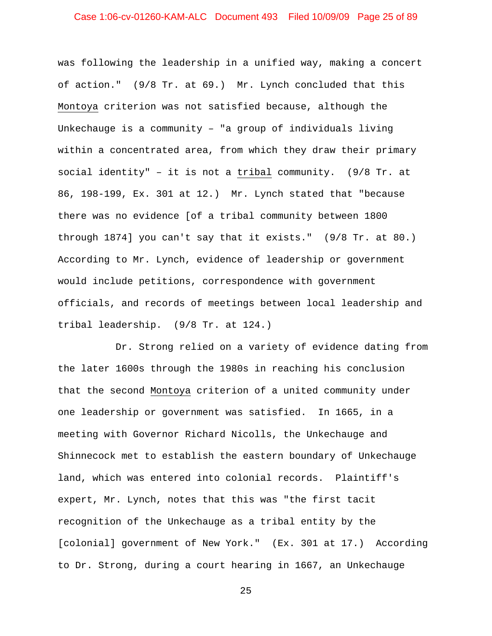# Case 1:06-cv-01260-KAM-ALC Document 493 Filed 10/09/09 Page 25 of 89

was following the leadership in a unified way, making a concert of action." (9/8 Tr. at 69.) Mr. Lynch concluded that this Montoya criterion was not satisfied because, although the Unkechauge is a community – "a group of individuals living within a concentrated area, from which they draw their primary social identity" – it is not a tribal community. (9/8 Tr. at 86, 198-199, Ex. 301 at 12.) Mr. Lynch stated that "because there was no evidence [of a tribal community between 1800 through 1874] you can't say that it exists." (9/8 Tr. at 80.) According to Mr. Lynch, evidence of leadership or government would include petitions, correspondence with government officials, and records of meetings between local leadership and tribal leadership. (9/8 Tr. at 124.)

Dr. Strong relied on a variety of evidence dating from the later 1600s through the 1980s in reaching his conclusion that the second Montoya criterion of a united community under one leadership or government was satisfied. In 1665, in a meeting with Governor Richard Nicolls, the Unkechauge and Shinnecock met to establish the eastern boundary of Unkechauge land, which was entered into colonial records. Plaintiff's expert, Mr. Lynch, notes that this was "the first tacit recognition of the Unkechauge as a tribal entity by the [colonial] government of New York." (Ex. 301 at 17.) According to Dr. Strong, during a court hearing in 1667, an Unkechauge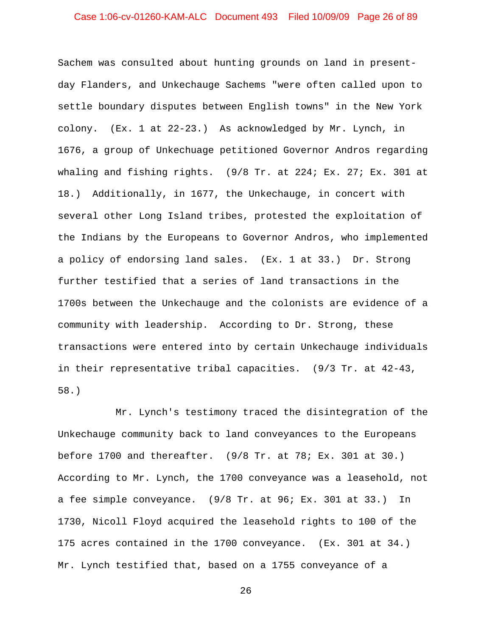# Case 1:06-cv-01260-KAM-ALC Document 493 Filed 10/09/09 Page 26 of 89

Sachem was consulted about hunting grounds on land in presentday Flanders, and Unkechauge Sachems "were often called upon to settle boundary disputes between English towns" in the New York colony. (Ex. 1 at 22-23.) As acknowledged by Mr. Lynch, in 1676, a group of Unkechuage petitioned Governor Andros regarding whaling and fishing rights. (9/8 Tr. at 224; Ex. 27; Ex. 301 at 18.) Additionally, in 1677, the Unkechauge, in concert with several other Long Island tribes, protested the exploitation of the Indians by the Europeans to Governor Andros, who implemented a policy of endorsing land sales. (Ex. 1 at 33.) Dr. Strong further testified that a series of land transactions in the 1700s between the Unkechauge and the colonists are evidence of a community with leadership. According to Dr. Strong, these transactions were entered into by certain Unkechauge individuals in their representative tribal capacities. (9/3 Tr. at 42-43, 58.)

Mr. Lynch's testimony traced the disintegration of the Unkechauge community back to land conveyances to the Europeans before 1700 and thereafter. (9/8 Tr. at 78; Ex. 301 at 30.) According to Mr. Lynch, the 1700 conveyance was a leasehold, not a fee simple conveyance. (9/8 Tr. at 96; Ex. 301 at 33.) In 1730, Nicoll Floyd acquired the leasehold rights to 100 of the 175 acres contained in the 1700 conveyance. (Ex. 301 at 34.) Mr. Lynch testified that, based on a 1755 conveyance of a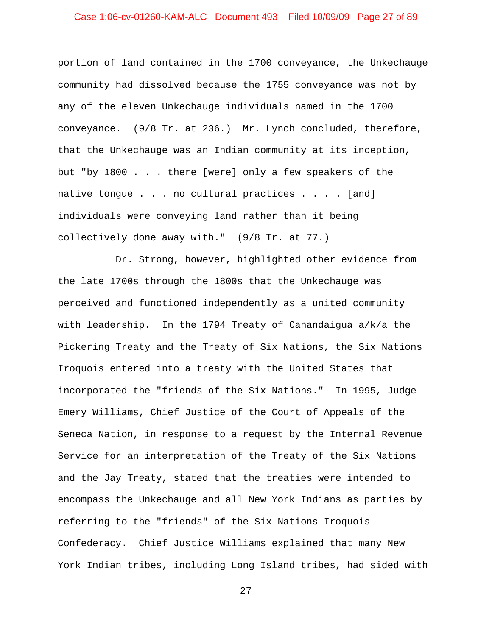# Case 1:06-cv-01260-KAM-ALC Document 493 Filed 10/09/09 Page 27 of 89

portion of land contained in the 1700 conveyance, the Unkechauge community had dissolved because the 1755 conveyance was not by any of the eleven Unkechauge individuals named in the 1700 conveyance. (9/8 Tr. at 236.) Mr. Lynch concluded, therefore, that the Unkechauge was an Indian community at its inception, but "by 1800 . . . there [were] only a few speakers of the native tongue . . . no cultural practices . . . . [and] individuals were conveying land rather than it being collectively done away with." (9/8 Tr. at 77.)

Dr. Strong, however, highlighted other evidence from the late 1700s through the 1800s that the Unkechauge was perceived and functioned independently as a united community with leadership. In the 1794 Treaty of Canandaigua a/k/a the Pickering Treaty and the Treaty of Six Nations, the Six Nations Iroquois entered into a treaty with the United States that incorporated the "friends of the Six Nations." In 1995, Judge Emery Williams, Chief Justice of the Court of Appeals of the Seneca Nation, in response to a request by the Internal Revenue Service for an interpretation of the Treaty of the Six Nations and the Jay Treaty, stated that the treaties were intended to encompass the Unkechauge and all New York Indians as parties by referring to the "friends" of the Six Nations Iroquois Confederacy. Chief Justice Williams explained that many New York Indian tribes, including Long Island tribes, had sided with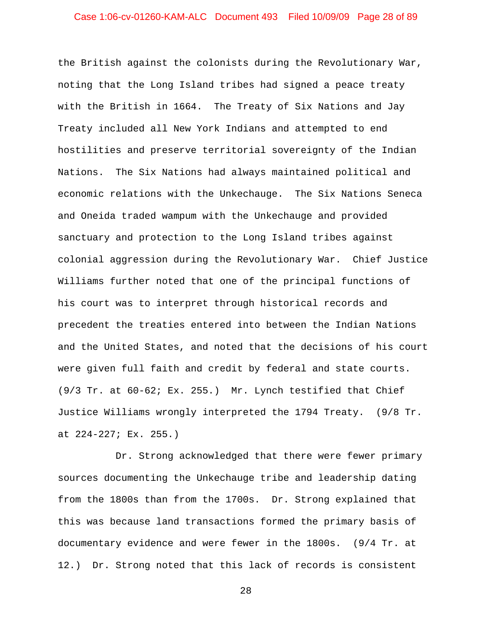# Case 1:06-cv-01260-KAM-ALC Document 493 Filed 10/09/09 Page 28 of 89

the British against the colonists during the Revolutionary War, noting that the Long Island tribes had signed a peace treaty with the British in 1664. The Treaty of Six Nations and Jay Treaty included all New York Indians and attempted to end hostilities and preserve territorial sovereignty of the Indian Nations. The Six Nations had always maintained political and economic relations with the Unkechauge. The Six Nations Seneca and Oneida traded wampum with the Unkechauge and provided sanctuary and protection to the Long Island tribes against colonial aggression during the Revolutionary War. Chief Justice Williams further noted that one of the principal functions of his court was to interpret through historical records and precedent the treaties entered into between the Indian Nations and the United States, and noted that the decisions of his court were given full faith and credit by federal and state courts. (9/3 Tr. at 60-62; Ex. 255.) Mr. Lynch testified that Chief Justice Williams wrongly interpreted the 1794 Treaty. (9/8 Tr. at 224-227; Ex. 255.)

Dr. Strong acknowledged that there were fewer primary sources documenting the Unkechauge tribe and leadership dating from the 1800s than from the 1700s. Dr. Strong explained that this was because land transactions formed the primary basis of documentary evidence and were fewer in the 1800s. (9/4 Tr. at 12.) Dr. Strong noted that this lack of records is consistent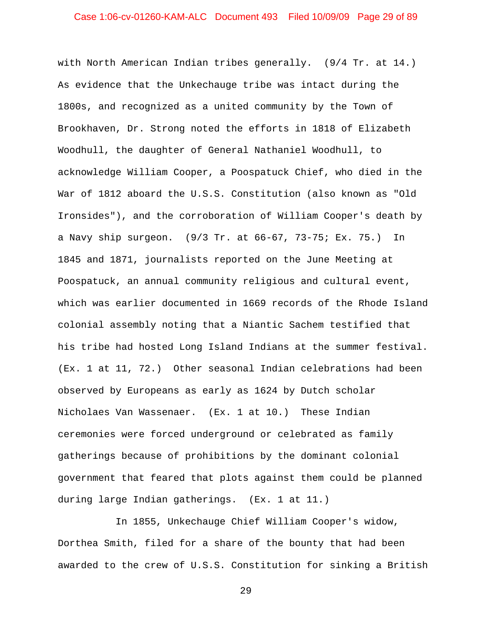# Case 1:06-cv-01260-KAM-ALC Document 493 Filed 10/09/09 Page 29 of 89

with North American Indian tribes generally. (9/4 Tr. at 14.) As evidence that the Unkechauge tribe was intact during the 1800s, and recognized as a united community by the Town of Brookhaven, Dr. Strong noted the efforts in 1818 of Elizabeth Woodhull, the daughter of General Nathaniel Woodhull, to acknowledge William Cooper, a Poospatuck Chief, who died in the War of 1812 aboard the U.S.S. Constitution (also known as "Old Ironsides"), and the corroboration of William Cooper's death by a Navy ship surgeon. (9/3 Tr. at 66-67, 73-75; Ex. 75.) In 1845 and 1871, journalists reported on the June Meeting at Poospatuck, an annual community religious and cultural event, which was earlier documented in 1669 records of the Rhode Island colonial assembly noting that a Niantic Sachem testified that his tribe had hosted Long Island Indians at the summer festival. (Ex. 1 at 11, 72.) Other seasonal Indian celebrations had been observed by Europeans as early as 1624 by Dutch scholar Nicholaes Van Wassenaer. (Ex. 1 at 10.) These Indian ceremonies were forced underground or celebrated as family gatherings because of prohibitions by the dominant colonial government that feared that plots against them could be planned during large Indian gatherings. (Ex. 1 at 11.)

In 1855, Unkechauge Chief William Cooper's widow, Dorthea Smith, filed for a share of the bounty that had been awarded to the crew of U.S.S. Constitution for sinking a British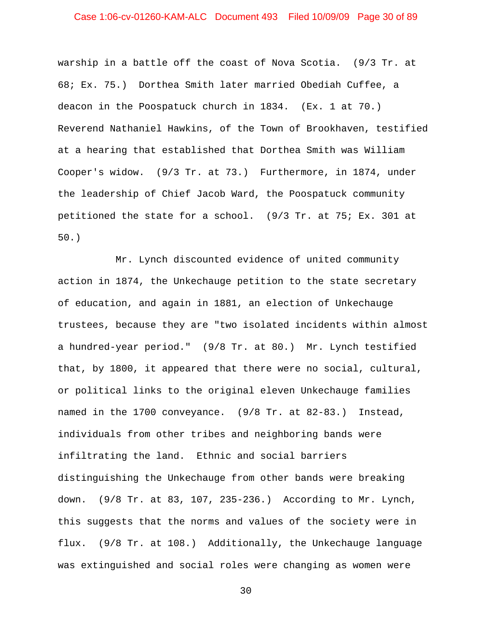# Case 1:06-cv-01260-KAM-ALC Document 493 Filed 10/09/09 Page 30 of 89

warship in a battle off the coast of Nova Scotia. (9/3 Tr. at 68; Ex. 75.) Dorthea Smith later married Obediah Cuffee, a deacon in the Poospatuck church in 1834. (Ex. 1 at 70.) Reverend Nathaniel Hawkins, of the Town of Brookhaven, testified at a hearing that established that Dorthea Smith was William Cooper's widow. (9/3 Tr. at 73.) Furthermore, in 1874, under the leadership of Chief Jacob Ward, the Poospatuck community petitioned the state for a school. (9/3 Tr. at 75; Ex. 301 at 50.)

Mr. Lynch discounted evidence of united community action in 1874, the Unkechauge petition to the state secretary of education, and again in 1881, an election of Unkechauge trustees, because they are "two isolated incidents within almost a hundred-year period." (9/8 Tr. at 80.) Mr. Lynch testified that, by 1800, it appeared that there were no social, cultural, or political links to the original eleven Unkechauge families named in the 1700 conveyance. (9/8 Tr. at 82-83.) Instead, individuals from other tribes and neighboring bands were infiltrating the land. Ethnic and social barriers distinguishing the Unkechauge from other bands were breaking down. (9/8 Tr. at 83, 107, 235-236.) According to Mr. Lynch, this suggests that the norms and values of the society were in flux. (9/8 Tr. at 108.) Additionally, the Unkechauge language was extinguished and social roles were changing as women were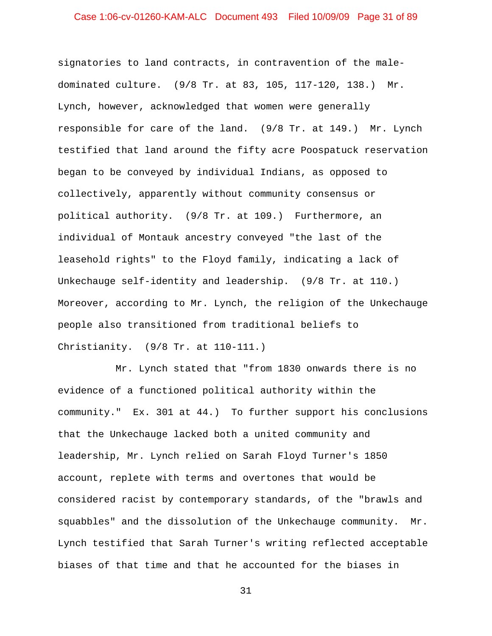# Case 1:06-cv-01260-KAM-ALC Document 493 Filed 10/09/09 Page 31 of 89

signatories to land contracts, in contravention of the maledominated culture. (9/8 Tr. at 83, 105, 117-120, 138.) Mr. Lynch, however, acknowledged that women were generally responsible for care of the land. (9/8 Tr. at 149.) Mr. Lynch testified that land around the fifty acre Poospatuck reservation began to be conveyed by individual Indians, as opposed to collectively, apparently without community consensus or political authority. (9/8 Tr. at 109.) Furthermore, an individual of Montauk ancestry conveyed "the last of the leasehold rights" to the Floyd family, indicating a lack of Unkechauge self-identity and leadership. (9/8 Tr. at 110.) Moreover, according to Mr. Lynch, the religion of the Unkechauge people also transitioned from traditional beliefs to Christianity. (9/8 Tr. at 110-111.)

Mr. Lynch stated that "from 1830 onwards there is no evidence of a functioned political authority within the community." Ex. 301 at 44.) To further support his conclusions that the Unkechauge lacked both a united community and leadership, Mr. Lynch relied on Sarah Floyd Turner's 1850 account, replete with terms and overtones that would be considered racist by contemporary standards, of the "brawls and squabbles" and the dissolution of the Unkechauge community. Mr. Lynch testified that Sarah Turner's writing reflected acceptable biases of that time and that he accounted for the biases in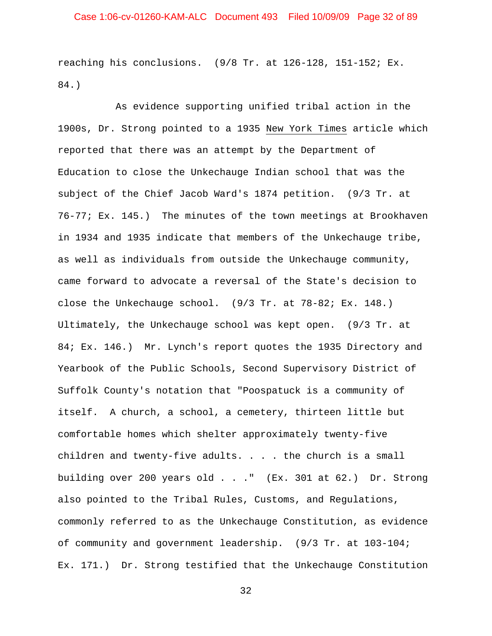reaching his conclusions. (9/8 Tr. at 126-128, 151-152; Ex. 84.)

As evidence supporting unified tribal action in the 1900s, Dr. Strong pointed to a 1935 New York Times article which reported that there was an attempt by the Department of Education to close the Unkechauge Indian school that was the subject of the Chief Jacob Ward's 1874 petition. (9/3 Tr. at 76-77; Ex. 145.) The minutes of the town meetings at Brookhaven in 1934 and 1935 indicate that members of the Unkechauge tribe, as well as individuals from outside the Unkechauge community, came forward to advocate a reversal of the State's decision to close the Unkechauge school. (9/3 Tr. at 78-82; Ex. 148.) Ultimately, the Unkechauge school was kept open. (9/3 Tr. at 84; Ex. 146.) Mr. Lynch's report quotes the 1935 Directory and Yearbook of the Public Schools, Second Supervisory District of Suffolk County's notation that "Poospatuck is a community of itself. A church, a school, a cemetery, thirteen little but comfortable homes which shelter approximately twenty-five children and twenty-five adults.  $\ldots$  . the church is a small building over 200 years old . . ." (Ex. 301 at 62.) Dr. Strong also pointed to the Tribal Rules, Customs, and Regulations, commonly referred to as the Unkechauge Constitution, as evidence of community and government leadership. (9/3 Tr. at 103-104; Ex. 171.) Dr. Strong testified that the Unkechauge Constitution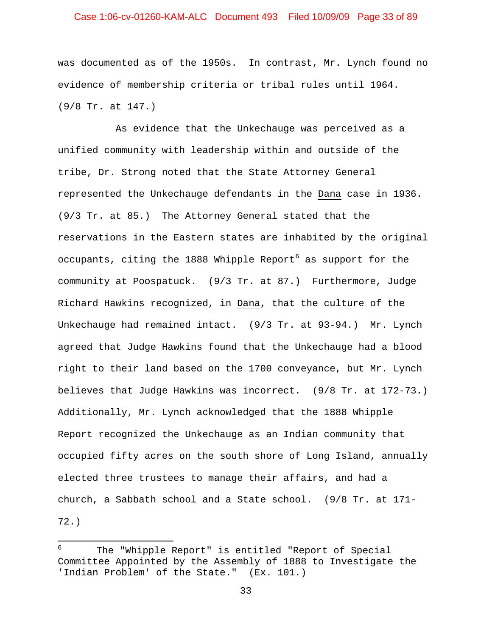# Case 1:06-cv-01260-KAM-ALC Document 493 Filed 10/09/09 Page 33 of 89

was documented as of the 1950s. In contrast, Mr. Lynch found no evidence of membership criteria or tribal rules until 1964. (9/8 Tr. at 147.)

As evidence that the Unkechauge was perceived as a unified community with leadership within and outside of the tribe, Dr. Strong noted that the State Attorney General represented the Unkechauge defendants in the Dana case in 1936. (9/3 Tr. at 85.) The Attorney General stated that the reservations in the Eastern states are inhabited by the original occupants, citing the 1888 Whipple Report<sup>[6](#page-32-0)</sup> as support for the community at Poospatuck. (9/3 Tr. at 87.) Furthermore, Judge Richard Hawkins recognized, in Dana, that the culture of the Unkechauge had remained intact. (9/3 Tr. at 93-94.) Mr. Lynch agreed that Judge Hawkins found that the Unkechauge had a blood right to their land based on the 1700 conveyance, but Mr. Lynch believes that Judge Hawkins was incorrect. (9/8 Tr. at 172-73.) Additionally, Mr. Lynch acknowledged that the 1888 Whipple Report recognized the Unkechauge as an Indian community that occupied fifty acres on the south shore of Long Island, annually elected three trustees to manage their affairs, and had a church, a Sabbath school and a State school. (9/8 Tr. at 171- 72.)

 $\overline{\phantom{0}}$ 

<span id="page-32-0"></span><sup>6</sup> The "Whipple Report" is entitled "Report of Special Committee Appointed by the Assembly of 1888 to Investigate the 'Indian Problem' of the State." (Ex. 101.)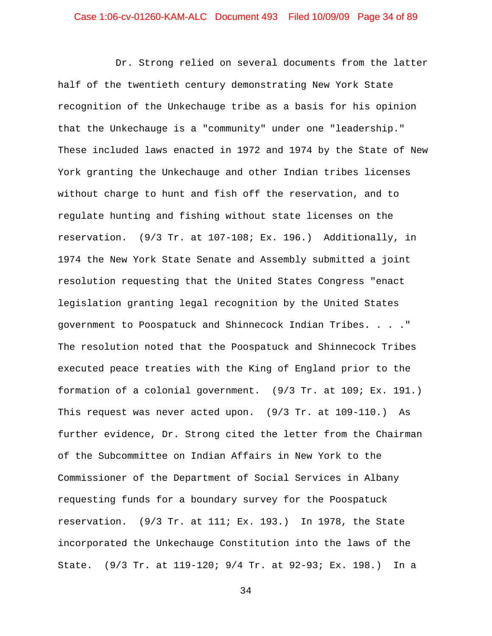Dr. Strong relied on several documents from the latter half of the twentieth century demonstrating New York State recognition of the Unkechauge tribe as a basis for his opinion that the Unkechauge is a "community" under one "leadership." These included laws enacted in 1972 and 1974 by the State of New York granting the Unkechauge and other Indian tribes licenses without charge to hunt and fish off the reservation, and to regulate hunting and fishing without state licenses on the reservation. (9/3 Tr. at 107-108; Ex. 196.) Additionally, in 1974 the New York State Senate and Assembly submitted a joint resolution requesting that the United States Congress "enact legislation granting legal recognition by the United States government to Poospatuck and Shinnecock Indian Tribes. . . ." The resolution noted that the Poospatuck and Shinnecock Tribes executed peace treaties with the King of England prior to the formation of a colonial government. (9/3 Tr. at 109; Ex. 191.) This request was never acted upon. (9/3 Tr. at 109-110.) As further evidence, Dr. Strong cited the letter from the Chairman of the Subcommittee on Indian Affairs in New York to the Commissioner of the Department of Social Services in Albany requesting funds for a boundary survey for the Poospatuck reservation. (9/3 Tr. at 111; Ex. 193.) In 1978, the State incorporated the Unkechauge Constitution into the laws of the State. (9/3 Tr. at 119-120; 9/4 Tr. at 92-93; Ex. 198.) In a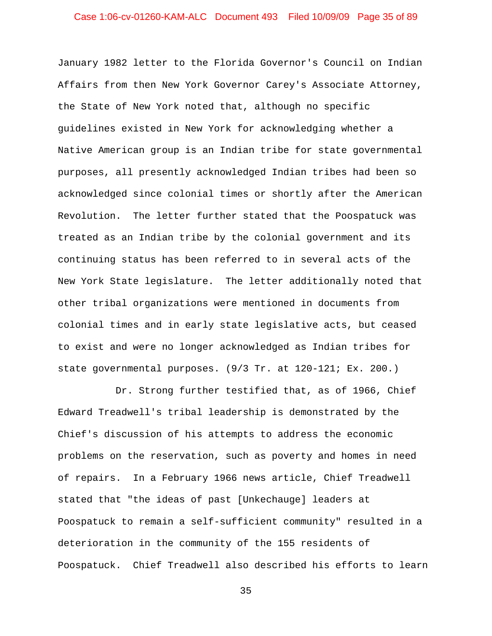# Case 1:06-cv-01260-KAM-ALC Document 493 Filed 10/09/09 Page 35 of 89

January 1982 letter to the Florida Governor's Council on Indian Affairs from then New York Governor Carey's Associate Attorney, the State of New York noted that, although no specific guidelines existed in New York for acknowledging whether a Native American group is an Indian tribe for state governmental purposes, all presently acknowledged Indian tribes had been so acknowledged since colonial times or shortly after the American Revolution. The letter further stated that the Poospatuck was treated as an Indian tribe by the colonial government and its continuing status has been referred to in several acts of the New York State legislature. The letter additionally noted that other tribal organizations were mentioned in documents from colonial times and in early state legislative acts, but ceased to exist and were no longer acknowledged as Indian tribes for state governmental purposes. (9/3 Tr. at 120-121; Ex. 200.)

Dr. Strong further testified that, as of 1966, Chief Edward Treadwell's tribal leadership is demonstrated by the Chief's discussion of his attempts to address the economic problems on the reservation, such as poverty and homes in need of repairs. In a February 1966 news article, Chief Treadwell stated that "the ideas of past [Unkechauge] leaders at Poospatuck to remain a self-sufficient community" resulted in a deterioration in the community of the 155 residents of Poospatuck. Chief Treadwell also described his efforts to learn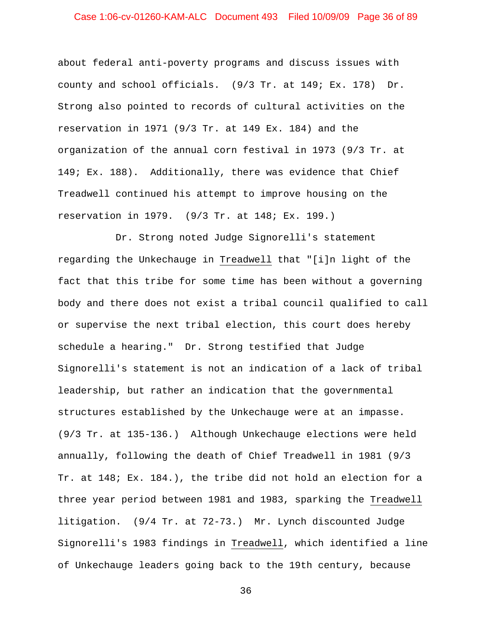# Case 1:06-cv-01260-KAM-ALC Document 493 Filed 10/09/09 Page 36 of 89

about federal anti-poverty programs and discuss issues with county and school officials. (9/3 Tr. at 149; Ex. 178) Dr. Strong also pointed to records of cultural activities on the reservation in 1971 (9/3 Tr. at 149 Ex. 184) and the organization of the annual corn festival in 1973 (9/3 Tr. at 149; Ex. 188). Additionally, there was evidence that Chief Treadwell continued his attempt to improve housing on the reservation in 1979. (9/3 Tr. at 148; Ex. 199.)

Dr. Strong noted Judge Signorelli's statement regarding the Unkechauge in Treadwell that "[i]n light of the fact that this tribe for some time has been without a governing body and there does not exist a tribal council qualified to call or supervise the next tribal election, this court does hereby schedule a hearing." Dr. Strong testified that Judge Signorelli's statement is not an indication of a lack of tribal leadership, but rather an indication that the governmental structures established by the Unkechauge were at an impasse. (9/3 Tr. at 135-136.) Although Unkechauge elections were held annually, following the death of Chief Treadwell in 1981 (9/3 Tr. at 148; Ex. 184.), the tribe did not hold an election for a three year period between 1981 and 1983, sparking the Treadwell litigation. (9/4 Tr. at 72-73.) Mr. Lynch discounted Judge Signorelli's 1983 findings in Treadwell, which identified a line of Unkechauge leaders going back to the 19th century, because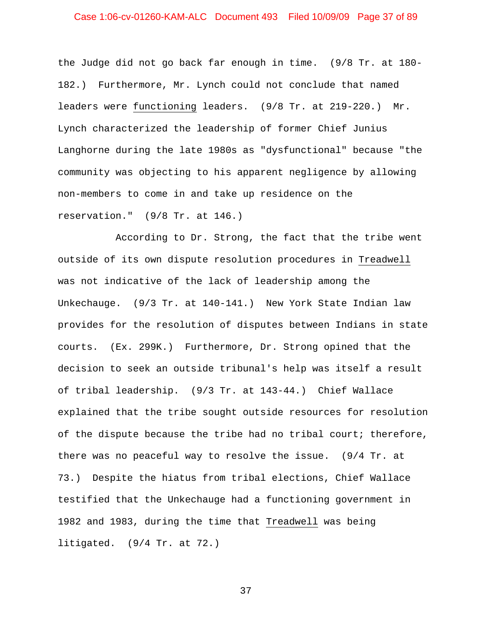## Case 1:06-cv-01260-KAM-ALC Document 493 Filed 10/09/09 Page 37 of 89

the Judge did not go back far enough in time. (9/8 Tr. at 180- 182.) Furthermore, Mr. Lynch could not conclude that named leaders were functioning leaders. (9/8 Tr. at 219-220.) Mr. Lynch characterized the leadership of former Chief Junius Langhorne during the late 1980s as "dysfunctional" because "the community was objecting to his apparent negligence by allowing non-members to come in and take up residence on the reservation." (9/8 Tr. at 146.)

According to Dr. Strong, the fact that the tribe went outside of its own dispute resolution procedures in Treadwell was not indicative of the lack of leadership among the Unkechauge. (9/3 Tr. at 140-141.) New York State Indian law provides for the resolution of disputes between Indians in state courts. (Ex. 299K.) Furthermore, Dr. Strong opined that the decision to seek an outside tribunal's help was itself a result of tribal leadership. (9/3 Tr. at 143-44.) Chief Wallace explained that the tribe sought outside resources for resolution of the dispute because the tribe had no tribal court; therefore, there was no peaceful way to resolve the issue. (9/4 Tr. at 73.) Despite the hiatus from tribal elections, Chief Wallace testified that the Unkechauge had a functioning government in 1982 and 1983, during the time that Treadwell was being litigated. (9/4 Tr. at 72.)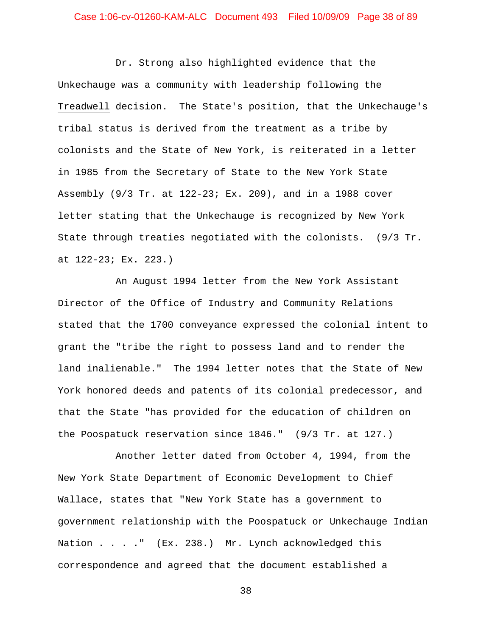## Case 1:06-cv-01260-KAM-ALC Document 493 Filed 10/09/09 Page 38 of 89

Dr. Strong also highlighted evidence that the Unkechauge was a community with leadership following the Treadwell decision. The State's position, that the Unkechauge's tribal status is derived from the treatment as a tribe by colonists and the State of New York, is reiterated in a letter in 1985 from the Secretary of State to the New York State Assembly (9/3 Tr. at 122-23; Ex. 209), and in a 1988 cover letter stating that the Unkechauge is recognized by New York State through treaties negotiated with the colonists. (9/3 Tr. at 122-23; Ex. 223.)

An August 1994 letter from the New York Assistant Director of the Office of Industry and Community Relations stated that the 1700 conveyance expressed the colonial intent to grant the "tribe the right to possess land and to render the land inalienable." The 1994 letter notes that the State of New York honored deeds and patents of its colonial predecessor, and that the State "has provided for the education of children on the Poospatuck reservation since 1846." (9/3 Tr. at 127.)

Another letter dated from October 4, 1994, from the New York State Department of Economic Development to Chief Wallace, states that "New York State has a government to government relationship with the Poospatuck or Unkechauge Indian Nation . . . . " (Ex. 238.) Mr. Lynch acknowledged this correspondence and agreed that the document established a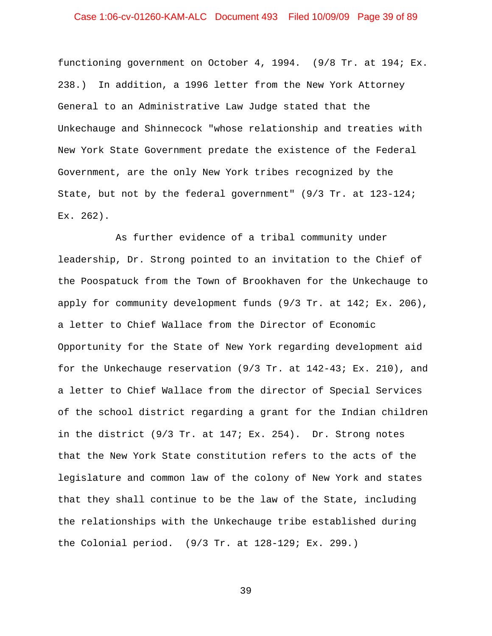## Case 1:06-cv-01260-KAM-ALC Document 493 Filed 10/09/09 Page 39 of 89

functioning government on October 4, 1994. (9/8 Tr. at 194; Ex. 238.) In addition, a 1996 letter from the New York Attorney General to an Administrative Law Judge stated that the Unkechauge and Shinnecock "whose relationship and treaties with New York State Government predate the existence of the Federal Government, are the only New York tribes recognized by the State, but not by the federal government" (9/3 Tr. at 123-124; Ex. 262).

As further evidence of a tribal community under leadership, Dr. Strong pointed to an invitation to the Chief of the Poospatuck from the Town of Brookhaven for the Unkechauge to apply for community development funds (9/3 Tr. at 142; Ex. 206), a letter to Chief Wallace from the Director of Economic Opportunity for the State of New York regarding development aid for the Unkechauge reservation (9/3 Tr. at 142-43; Ex. 210), and a letter to Chief Wallace from the director of Special Services of the school district regarding a grant for the Indian children in the district (9/3 Tr. at 147; Ex. 254). Dr. Strong notes that the New York State constitution refers to the acts of the legislature and common law of the colony of New York and states that they shall continue to be the law of the State, including the relationships with the Unkechauge tribe established during the Colonial period. (9/3 Tr. at 128-129; Ex. 299.)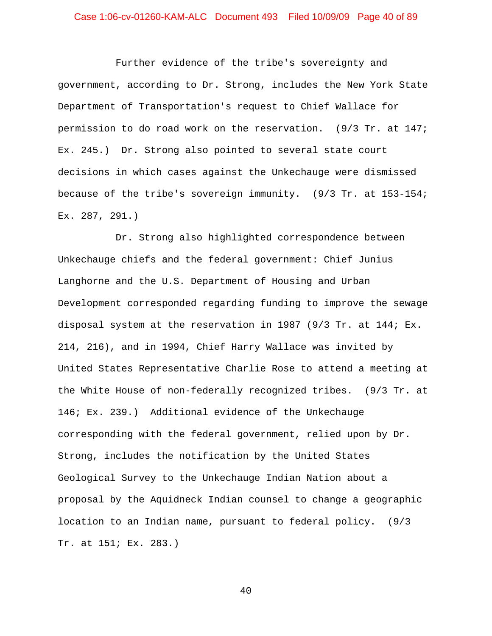# Case 1:06-cv-01260-KAM-ALC Document 493 Filed 10/09/09 Page 40 of 89

Further evidence of the tribe's sovereignty and government, according to Dr. Strong, includes the New York State Department of Transportation's request to Chief Wallace for permission to do road work on the reservation. (9/3 Tr. at 147; Ex. 245.) Dr. Strong also pointed to several state court decisions in which cases against the Unkechauge were dismissed because of the tribe's sovereign immunity. (9/3 Tr. at 153-154; Ex. 287, 291.)

Dr. Strong also highlighted correspondence between Unkechauge chiefs and the federal government: Chief Junius Langhorne and the U.S. Department of Housing and Urban Development corresponded regarding funding to improve the sewage disposal system at the reservation in 1987 (9/3 Tr. at 144; Ex. 214, 216), and in 1994, Chief Harry Wallace was invited by United States Representative Charlie Rose to attend a meeting at the White House of non-federally recognized tribes. (9/3 Tr. at 146; Ex. 239.) Additional evidence of the Unkechauge corresponding with the federal government, relied upon by Dr. Strong, includes the notification by the United States Geological Survey to the Unkechauge Indian Nation about a proposal by the Aquidneck Indian counsel to change a geographic location to an Indian name, pursuant to federal policy. (9/3 Tr. at 151; Ex. 283.)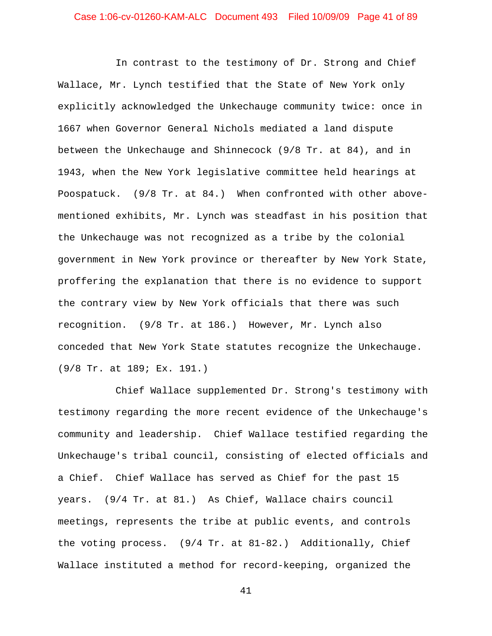In contrast to the testimony of Dr. Strong and Chief Wallace, Mr. Lynch testified that the State of New York only explicitly acknowledged the Unkechauge community twice: once in 1667 when Governor General Nichols mediated a land dispute between the Unkechauge and Shinnecock (9/8 Tr. at 84), and in 1943, when the New York legislative committee held hearings at Poospatuck. (9/8 Tr. at 84.) When confronted with other abovementioned exhibits, Mr. Lynch was steadfast in his position that the Unkechauge was not recognized as a tribe by the colonial government in New York province or thereafter by New York State, proffering the explanation that there is no evidence to support the contrary view by New York officials that there was such recognition. (9/8 Tr. at 186.) However, Mr. Lynch also conceded that New York State statutes recognize the Unkechauge. (9/8 Tr. at 189; Ex. 191.)

Chief Wallace supplemented Dr. Strong's testimony with testimony regarding the more recent evidence of the Unkechauge's community and leadership. Chief Wallace testified regarding the Unkechauge's tribal council, consisting of elected officials and a Chief. Chief Wallace has served as Chief for the past 15 years. (9/4 Tr. at 81.) As Chief, Wallace chairs council meetings, represents the tribe at public events, and controls the voting process. (9/4 Tr. at 81-82.) Additionally, Chief Wallace instituted a method for record-keeping, organized the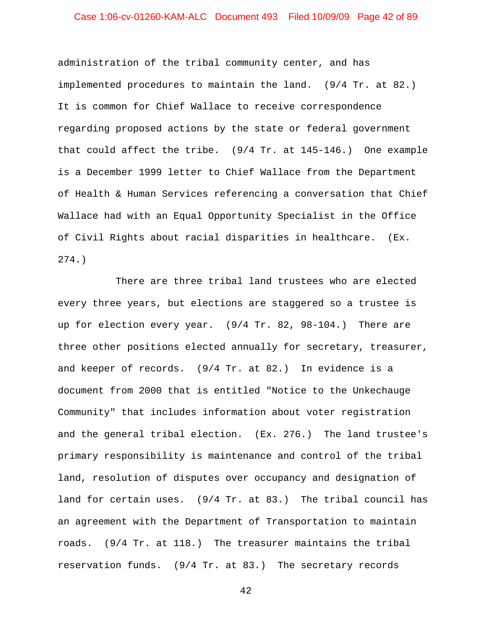### Case 1:06-cv-01260-KAM-ALC Document 493 Filed 10/09/09 Page 42 of 89

administration of the tribal community center, and has implemented procedures to maintain the land. (9/4 Tr. at 82.) It is common for Chief Wallace to receive correspondence regarding proposed actions by the state or federal government that could affect the tribe. (9/4 Tr. at 145-146.) One example is a December 1999 letter to Chief Wallace from the Department of Health & Human Services referencing a conversation that Chief Wallace had with an Equal Opportunity Specialist in the Office of Civil Rights about racial disparities in healthcare. (Ex. 274.)

There are three tribal land trustees who are elected every three years, but elections are staggered so a trustee is up for election every year. (9/4 Tr. 82, 98-104.) There are three other positions elected annually for secretary, treasurer, and keeper of records. (9/4 Tr. at 82.) In evidence is a document from 2000 that is entitled "Notice to the Unkechauge Community" that includes information about voter registration and the general tribal election. (Ex. 276.) The land trustee's primary responsibility is maintenance and control of the tribal land, resolution of disputes over occupancy and designation of land for certain uses. (9/4 Tr. at 83.) The tribal council has an agreement with the Department of Transportation to maintain roads. (9/4 Tr. at 118.) The treasurer maintains the tribal reservation funds. (9/4 Tr. at 83.) The secretary records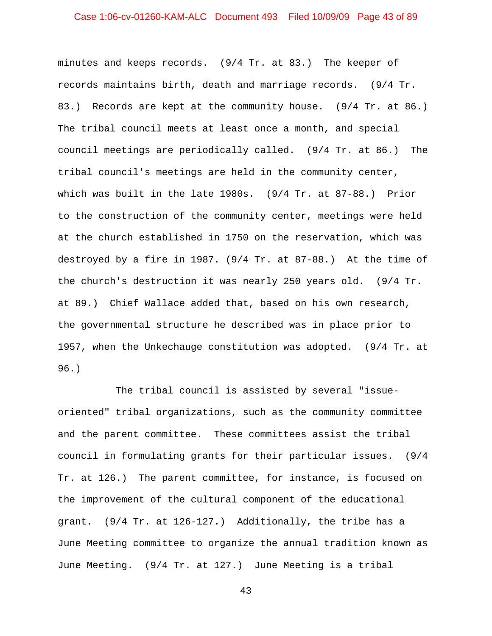## Case 1:06-cv-01260-KAM-ALC Document 493 Filed 10/09/09 Page 43 of 89

minutes and keeps records. (9/4 Tr. at 83.) The keeper of records maintains birth, death and marriage records. (9/4 Tr. 83.) Records are kept at the community house. (9/4 Tr. at 86.) The tribal council meets at least once a month, and special council meetings are periodically called. (9/4 Tr. at 86.) The tribal council's meetings are held in the community center, which was built in the late 1980s. (9/4 Tr. at 87-88.) Prior to the construction of the community center, meetings were held at the church established in 1750 on the reservation, which was destroyed by a fire in 1987. (9/4 Tr. at 87-88.) At the time of the church's destruction it was nearly 250 years old. (9/4 Tr. at 89.) Chief Wallace added that, based on his own research, the governmental structure he described was in place prior to 1957, when the Unkechauge constitution was adopted. (9/4 Tr. at 96.)

The tribal council is assisted by several "issueoriented" tribal organizations, such as the community committee and the parent committee. These committees assist the tribal council in formulating grants for their particular issues. (9/4 Tr. at 126.) The parent committee, for instance, is focused on the improvement of the cultural component of the educational grant. (9/4 Tr. at 126-127.) Additionally, the tribe has a June Meeting committee to organize the annual tradition known as June Meeting. (9/4 Tr. at 127.) June Meeting is a tribal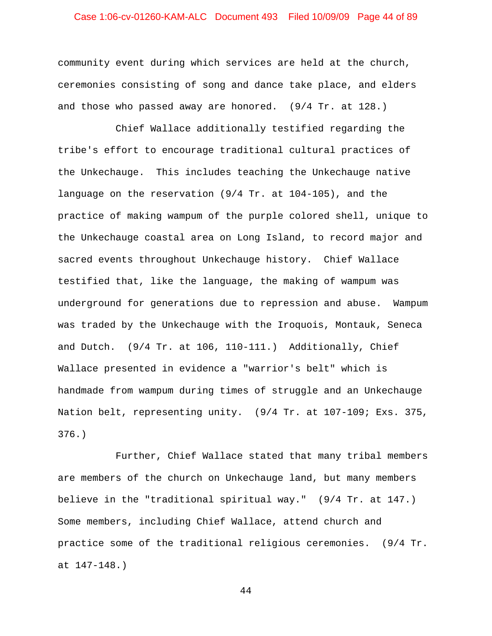## Case 1:06-cv-01260-KAM-ALC Document 493 Filed 10/09/09 Page 44 of 89

community event during which services are held at the church, ceremonies consisting of song and dance take place, and elders and those who passed away are honored. (9/4 Tr. at 128.)

Chief Wallace additionally testified regarding the tribe's effort to encourage traditional cultural practices of the Unkechauge. This includes teaching the Unkechauge native language on the reservation (9/4 Tr. at 104-105), and the practice of making wampum of the purple colored shell, unique to the Unkechauge coastal area on Long Island, to record major and sacred events throughout Unkechauge history. Chief Wallace testified that, like the language, the making of wampum was underground for generations due to repression and abuse. Wampum was traded by the Unkechauge with the Iroquois, Montauk, Seneca and Dutch. (9/4 Tr. at 106, 110-111.) Additionally, Chief Wallace presented in evidence a "warrior's belt" which is handmade from wampum during times of struggle and an Unkechauge Nation belt, representing unity. (9/4 Tr. at 107-109; Exs. 375, 376.)

Further, Chief Wallace stated that many tribal members are members of the church on Unkechauge land, but many members believe in the "traditional spiritual way." (9/4 Tr. at 147.) Some members, including Chief Wallace, attend church and practice some of the traditional religious ceremonies. (9/4 Tr. at 147-148.)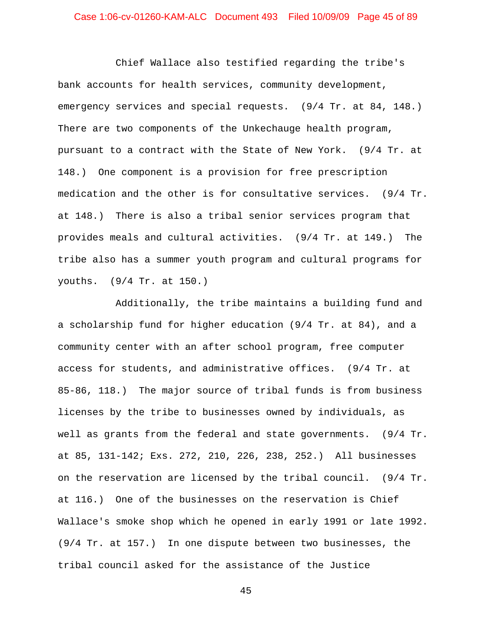## Case 1:06-cv-01260-KAM-ALC Document 493 Filed 10/09/09 Page 45 of 89

Chief Wallace also testified regarding the tribe's bank accounts for health services, community development, emergency services and special requests. (9/4 Tr. at 84, 148.) There are two components of the Unkechauge health program, pursuant to a contract with the State of New York. (9/4 Tr. at 148.) One component is a provision for free prescription medication and the other is for consultative services. (9/4 Tr. at 148.) There is also a tribal senior services program that provides meals and cultural activities. (9/4 Tr. at 149.) The tribe also has a summer youth program and cultural programs for youths. (9/4 Tr. at 150.)

Additionally, the tribe maintains a building fund and a scholarship fund for higher education (9/4 Tr. at 84), and a community center with an after school program, free computer access for students, and administrative offices. (9/4 Tr. at 85-86, 118.) The major source of tribal funds is from business licenses by the tribe to businesses owned by individuals, as well as grants from the federal and state governments. (9/4 Tr. at 85, 131-142; Exs. 272, 210, 226, 238, 252.) All businesses on the reservation are licensed by the tribal council. (9/4 Tr. at 116.) One of the businesses on the reservation is Chief Wallace's smoke shop which he opened in early 1991 or late 1992. (9/4 Tr. at 157.) In one dispute between two businesses, the tribal council asked for the assistance of the Justice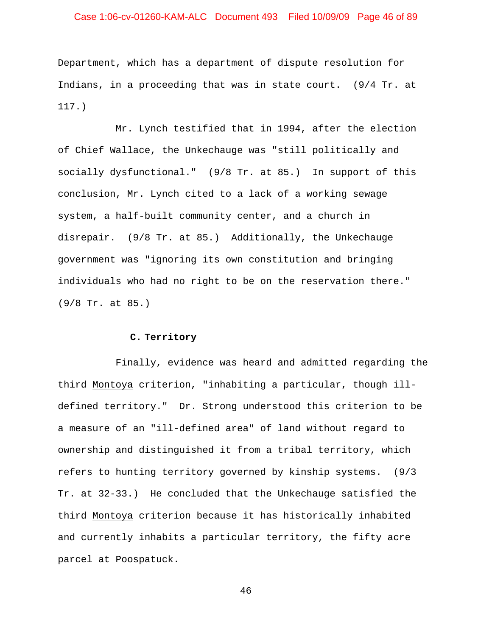## Case 1:06-cv-01260-KAM-ALC Document 493 Filed 10/09/09 Page 46 of 89

Department, which has a department of dispute resolution for Indians, in a proceeding that was in state court. (9/4 Tr. at 117.)

Mr. Lynch testified that in 1994, after the election of Chief Wallace, the Unkechauge was "still politically and socially dysfunctional." (9/8 Tr. at 85.) In support of this conclusion, Mr. Lynch cited to a lack of a working sewage system, a half-built community center, and a church in disrepair. (9/8 Tr. at 85.) Additionally, the Unkechauge government was "ignoring its own constitution and bringing individuals who had no right to be on the reservation there." (9/8 Tr. at 85.)

### **C. Territory**

Finally, evidence was heard and admitted regarding the third Montoya criterion, "inhabiting a particular, though illdefined territory." Dr. Strong understood this criterion to be a measure of an "ill-defined area" of land without regard to ownership and distinguished it from a tribal territory, which refers to hunting territory governed by kinship systems. (9/3 Tr. at 32-33.) He concluded that the Unkechauge satisfied the third Montoya criterion because it has historically inhabited and currently inhabits a particular territory, the fifty acre parcel at Poospatuck.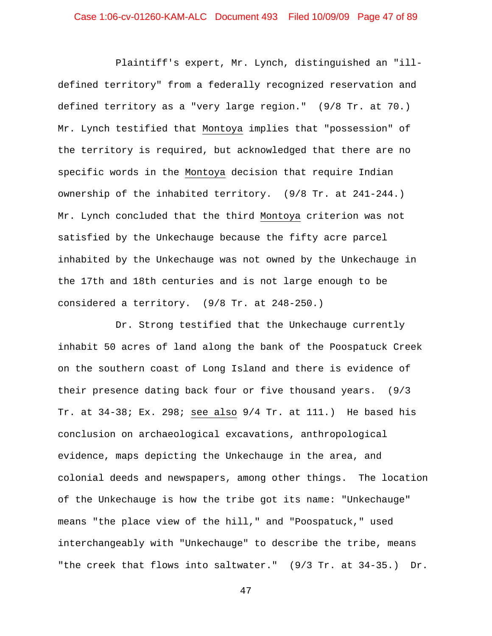Plaintiff's expert, Mr. Lynch, distinguished an "illdefined territory" from a federally recognized reservation and defined territory as a "very large region." (9/8 Tr. at 70.) Mr. Lynch testified that Montoya implies that "possession" of the territory is required, but acknowledged that there are no specific words in the Montoya decision that require Indian ownership of the inhabited territory. (9/8 Tr. at 241-244.) Mr. Lynch concluded that the third Montoya criterion was not satisfied by the Unkechauge because the fifty acre parcel inhabited by the Unkechauge was not owned by the Unkechauge in the 17th and 18th centuries and is not large enough to be considered a territory. (9/8 Tr. at 248-250.)

Dr. Strong testified that the Unkechauge currently inhabit 50 acres of land along the bank of the Poospatuck Creek on the southern coast of Long Island and there is evidence of their presence dating back four or five thousand years. (9/3 Tr. at 34-38; Ex. 298; see also 9/4 Tr. at 111.) He based his conclusion on archaeological excavations, anthropological evidence, maps depicting the Unkechauge in the area, and colonial deeds and newspapers, among other things. The location of the Unkechauge is how the tribe got its name: "Unkechauge" means "the place view of the hill," and "Poospatuck," used interchangeably with "Unkechauge" to describe the tribe, means "the creek that flows into saltwater." (9/3 Tr. at 34-35.) Dr.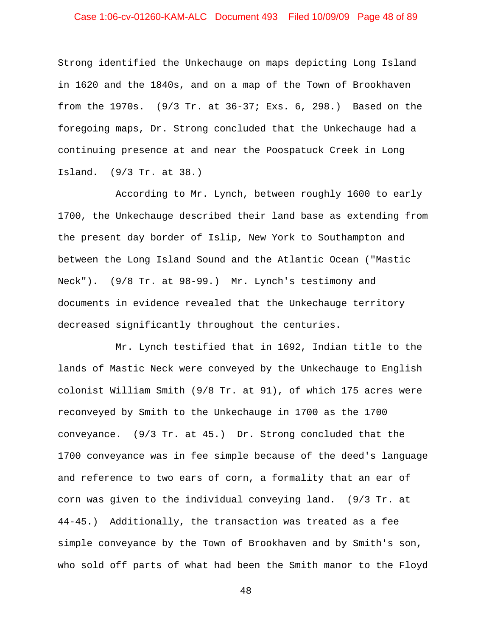## Case 1:06-cv-01260-KAM-ALC Document 493 Filed 10/09/09 Page 48 of 89

Strong identified the Unkechauge on maps depicting Long Island in 1620 and the 1840s, and on a map of the Town of Brookhaven from the 1970s. (9/3 Tr. at 36-37; Exs. 6, 298.) Based on the foregoing maps, Dr. Strong concluded that the Unkechauge had a continuing presence at and near the Poospatuck Creek in Long Island. (9/3 Tr. at 38.)

According to Mr. Lynch, between roughly 1600 to early 1700, the Unkechauge described their land base as extending from the present day border of Islip, New York to Southampton and between the Long Island Sound and the Atlantic Ocean ("Mastic Neck"). (9/8 Tr. at 98-99.) Mr. Lynch's testimony and documents in evidence revealed that the Unkechauge territory decreased significantly throughout the centuries.

Mr. Lynch testified that in 1692, Indian title to the lands of Mastic Neck were conveyed by the Unkechauge to English colonist William Smith (9/8 Tr. at 91), of which 175 acres were reconveyed by Smith to the Unkechauge in 1700 as the 1700 conveyance. (9/3 Tr. at 45.) Dr. Strong concluded that the 1700 conveyance was in fee simple because of the deed's language and reference to two ears of corn, a formality that an ear of corn was given to the individual conveying land. (9/3 Tr. at 44-45.) Additionally, the transaction was treated as a fee simple conveyance by the Town of Brookhaven and by Smith's son, who sold off parts of what had been the Smith manor to the Floyd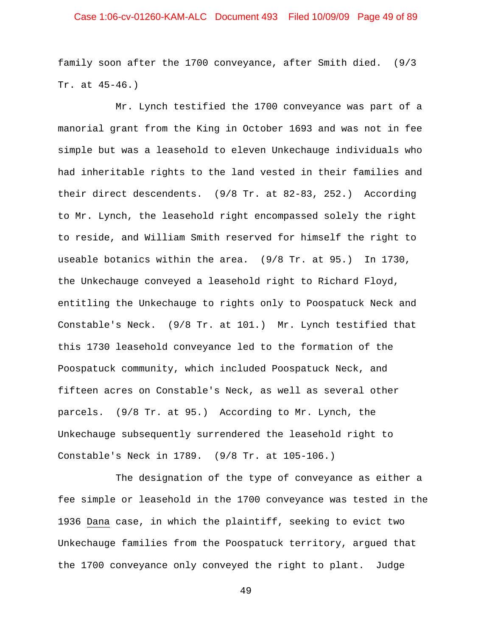## Case 1:06-cv-01260-KAM-ALC Document 493 Filed 10/09/09 Page 49 of 89

family soon after the 1700 conveyance, after Smith died. (9/3 Tr. at 45-46.)

Mr. Lynch testified the 1700 conveyance was part of a manorial grant from the King in October 1693 and was not in fee simple but was a leasehold to eleven Unkechauge individuals who had inheritable rights to the land vested in their families and their direct descendents. (9/8 Tr. at 82-83, 252.) According to Mr. Lynch, the leasehold right encompassed solely the right to reside, and William Smith reserved for himself the right to useable botanics within the area. (9/8 Tr. at 95.) In 1730, the Unkechauge conveyed a leasehold right to Richard Floyd, entitling the Unkechauge to rights only to Poospatuck Neck and Constable's Neck. (9/8 Tr. at 101.) Mr. Lynch testified that this 1730 leasehold conveyance led to the formation of the Poospatuck community, which included Poospatuck Neck, and fifteen acres on Constable's Neck, as well as several other parcels. (9/8 Tr. at 95.) According to Mr. Lynch, the Unkechauge subsequently surrendered the leasehold right to Constable's Neck in 1789. (9/8 Tr. at 105-106.)

The designation of the type of conveyance as either a fee simple or leasehold in the 1700 conveyance was tested in the 1936 Dana case, in which the plaintiff, seeking to evict two Unkechauge families from the Poospatuck territory, argued that the 1700 conveyance only conveyed the right to plant. Judge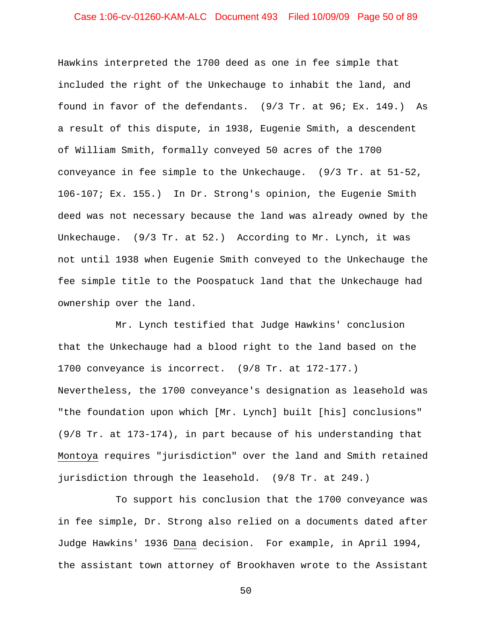## Case 1:06-cv-01260-KAM-ALC Document 493 Filed 10/09/09 Page 50 of 89

Hawkins interpreted the 1700 deed as one in fee simple that included the right of the Unkechauge to inhabit the land, and found in favor of the defendants. (9/3 Tr. at 96; Ex. 149.) As a result of this dispute, in 1938, Eugenie Smith, a descendent of William Smith, formally conveyed 50 acres of the 1700 conveyance in fee simple to the Unkechauge. (9/3 Tr. at 51-52, 106-107; Ex. 155.) In Dr. Strong's opinion, the Eugenie Smith deed was not necessary because the land was already owned by the Unkechauge. (9/3 Tr. at 52.) According to Mr. Lynch, it was not until 1938 when Eugenie Smith conveyed to the Unkechauge the fee simple title to the Poospatuck land that the Unkechauge had ownership over the land.

Mr. Lynch testified that Judge Hawkins' conclusion that the Unkechauge had a blood right to the land based on the 1700 conveyance is incorrect. (9/8 Tr. at 172-177.) Nevertheless, the 1700 conveyance's designation as leasehold was "the foundation upon which [Mr. Lynch] built [his] conclusions" (9/8 Tr. at 173-174), in part because of his understanding that Montoya requires "jurisdiction" over the land and Smith retained jurisdiction through the leasehold. (9/8 Tr. at 249.)

To support his conclusion that the 1700 conveyance was in fee simple, Dr. Strong also relied on a documents dated after Judge Hawkins' 1936 Dana decision. For example, in April 1994, the assistant town attorney of Brookhaven wrote to the Assistant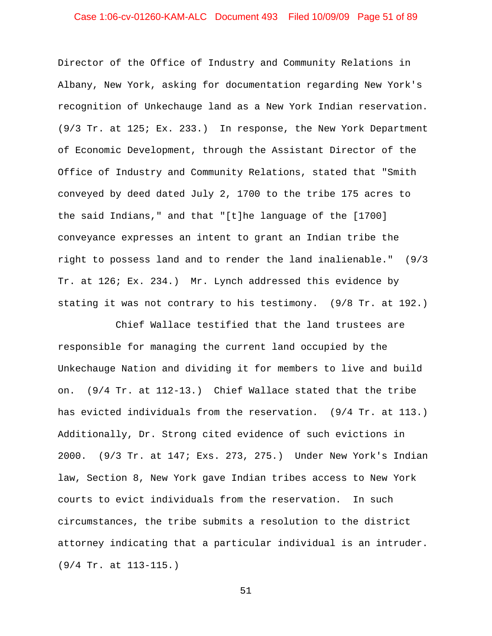## Case 1:06-cv-01260-KAM-ALC Document 493 Filed 10/09/09 Page 51 of 89

Director of the Office of Industry and Community Relations in Albany, New York, asking for documentation regarding New York's recognition of Unkechauge land as a New York Indian reservation. (9/3 Tr. at 125; Ex. 233.) In response, the New York Department of Economic Development, through the Assistant Director of the Office of Industry and Community Relations, stated that "Smith conveyed by deed dated July 2, 1700 to the tribe 175 acres to the said Indians," and that "[t]he language of the [1700] conveyance expresses an intent to grant an Indian tribe the right to possess land and to render the land inalienable." (9/3 Tr. at 126; Ex. 234.) Mr. Lynch addressed this evidence by stating it was not contrary to his testimony. (9/8 Tr. at 192.)

Chief Wallace testified that the land trustees are responsible for managing the current land occupied by the Unkechauge Nation and dividing it for members to live and build on. (9/4 Tr. at 112-13.) Chief Wallace stated that the tribe has evicted individuals from the reservation. (9/4 Tr. at 113.) Additionally, Dr. Strong cited evidence of such evictions in 2000. (9/3 Tr. at 147; Exs. 273, 275.) Under New York's Indian law, Section 8, New York gave Indian tribes access to New York courts to evict individuals from the reservation. In such circumstances, the tribe submits a resolution to the district attorney indicating that a particular individual is an intruder. (9/4 Tr. at 113-115.)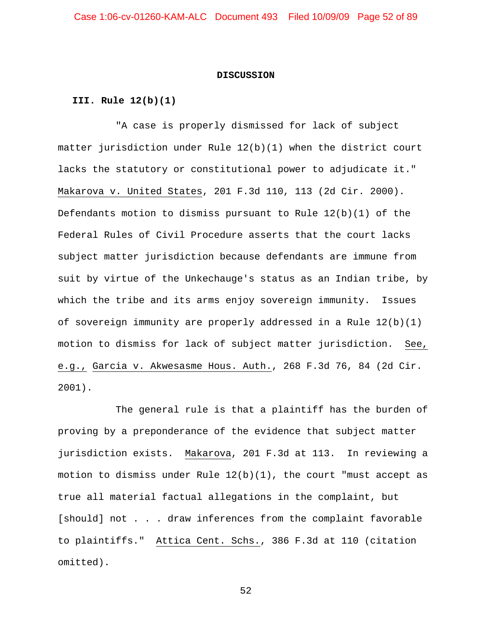#### **DISCUSSION**

### **III. Rule 12(b)(1)**

"A case is properly dismissed for lack of subject matter jurisdiction under Rule 12(b)(1) when the district court lacks the statutory or constitutional power to adjudicate it." Makarova v. United States, 201 F.3d 110, 113 (2d Cir. 2000). Defendants motion to dismiss pursuant to Rule  $12(b)(1)$  of the Federal Rules of Civil Procedure asserts that the court lacks subject matter jurisdiction because defendants are immune from suit by virtue of the Unkechauge's status as an Indian tribe, by which the tribe and its arms enjoy sovereign immunity. Issues of sovereign immunity are properly addressed in a Rule  $12(b)(1)$ motion to dismiss for lack of subject matter jurisdiction. See, e.g., Garcia v. Akwesasme Hous. Auth., 268 F.3d 76, 84 (2d Cir. 2001).

The general rule is that a plaintiff has the burden of proving by a preponderance of the evidence that subject matter jurisdiction exists. Makarova, 201 F.3d at 113. In reviewing a motion to dismiss under Rule  $12(b)(1)$ , the court "must accept as true all material factual allegations in the complaint, but [should] not . . . draw inferences from the complaint favorable to plaintiffs." Attica Cent. Schs., 386 F.3d at 110 (citation omitted).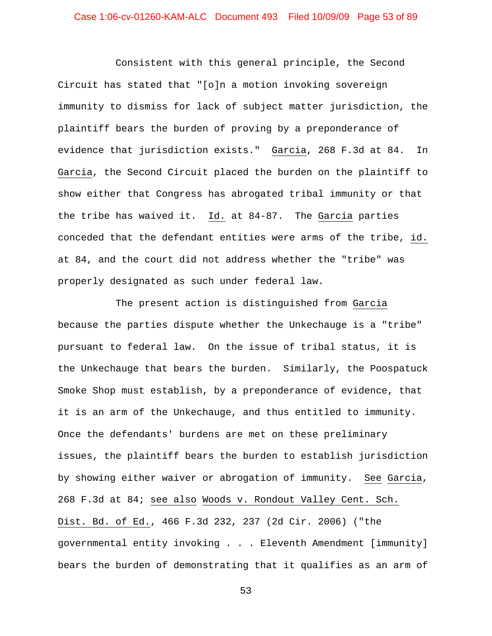Consistent with this general principle, the Second Circuit has stated that "[o]n a motion invoking sovereign immunity to dismiss for lack of subject matter jurisdiction, the plaintiff bears the burden of proving by a preponderance of evidence that jurisdiction exists." Garcia, 268 F.3d at 84. In Garcia, the Second Circuit placed the burden on the plaintiff to show either that Congress has abrogated tribal immunity or that the tribe has waived it. Id. at 84-87. The Garcia parties conceded that the defendant entities were arms of the tribe, id. at 84, and the court did not address whether the "tribe" was properly designated as such under federal law.

The present action is distinguished from Garcia because the parties dispute whether the Unkechauge is a "tribe" pursuant to federal law. On the issue of tribal status, it is the Unkechauge that bears the burden. Similarly, the Poospatuck Smoke Shop must establish, by a preponderance of evidence, that it is an arm of the Unkechauge, and thus entitled to immunity. Once the defendants' burdens are met on these preliminary issues, the plaintiff bears the burden to establish jurisdiction by showing either waiver or abrogation of immunity. See Garcia, 268 F.3d at 84; see also Woods v. Rondout Valley Cent. Sch. Dist. Bd. of Ed., 466 F.3d 232, 237 (2d Cir. 2006) ("the governmental entity invoking . . . Eleventh Amendment [immunity] bears the burden of demonstrating that it qualifies as an arm of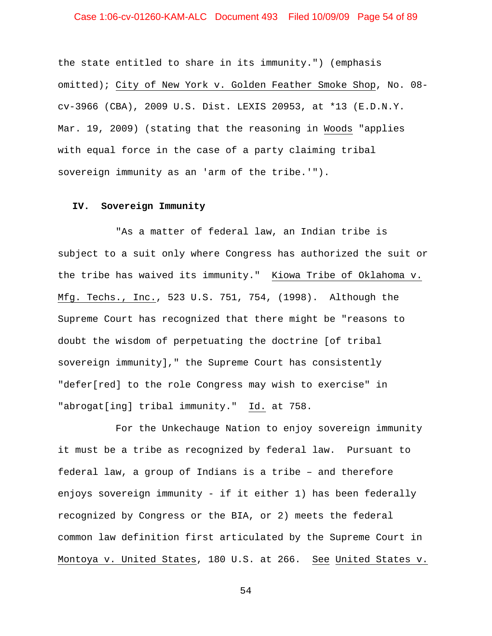## Case 1:06-cv-01260-KAM-ALC Document 493 Filed 10/09/09 Page 54 of 89

the state entitled to share in its immunity.") (emphasis omitted); City of New York v. Golden Feather Smoke Shop, No. 08 cv-3966 (CBA), 2009 U.S. Dist. LEXIS 20953, at \*13 (E.D.N.Y. Mar. 19, 2009) (stating that the reasoning in Woods "applies with equal force in the case of a party claiming tribal sovereign immunity as an 'arm of the tribe.'").

#### **IV. Sovereign Immunity**

"As a matter of federal law, an Indian tribe is subject to a suit only where Congress has authorized the suit or the tribe has waived its immunity." Kiowa Tribe of Oklahoma v. Mfg. Techs., Inc., 523 U.S. 751, 754, (1998). Although the Supreme Court has recognized that there might be "reasons to doubt the wisdom of perpetuating the doctrine [of tribal sovereign immunity]," the Supreme Court has consistently "defer[red] to the role Congress may wish to exercise" in "abrogat[ing] tribal immunity." Id. at 758.

For the Unkechauge Nation to enjoy sovereign immunity it must be a tribe as recognized by federal law. Pursuant to federal law, a group of Indians is a tribe – and therefore enjoys sovereign immunity - if it either 1) has been federally recognized by Congress or the BIA, or 2) meets the federal common law definition first articulated by the Supreme Court in Montoya v. United States, 180 U.S. at 266. See United States v.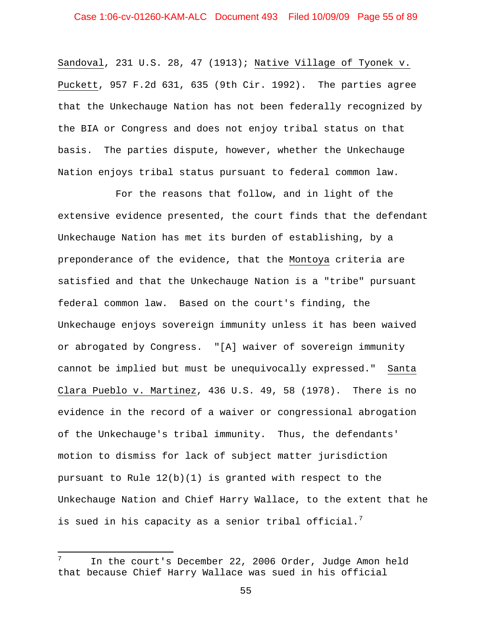Sandoval, 231 U.S. 28, 47 (1913); Native Village of Tyonek v. Puckett, 957 F.2d 631, 635 (9th Cir. 1992). The parties agree that the Unkechauge Nation has not been federally recognized by the BIA or Congress and does not enjoy tribal status on that basis. The parties dispute, however, whether the Unkechauge Nation enjoys tribal status pursuant to federal common law.

For the reasons that follow, and in light of the extensive evidence presented, the court finds that the defendant Unkechauge Nation has met its burden of establishing, by a preponderance of the evidence, that the Montoya criteria are satisfied and that the Unkechauge Nation is a "tribe" pursuant federal common law. Based on the court's finding, the Unkechauge enjoys sovereign immunity unless it has been waived or abrogated by Congress. "[A] waiver of sovereign immunity cannot be implied but must be unequivocally expressed." Santa Clara Pueblo v. Martinez, 436 U.S. 49, 58 (1978). There is no evidence in the record of a waiver or congressional abrogation of the Unkechauge's tribal immunity. Thus, the defendants' motion to dismiss for lack of subject matter jurisdiction pursuant to Rule  $12(b)(1)$  is granted with respect to the Unkechauge Nation and Chief Harry Wallace, to the extent that he is sued in his capacity as a senior tribal official. $^7$  $^7$ 

ı

<span id="page-54-0"></span> $7$  In the court's December 22, 2006 Order, Judge Amon held that because Chief Harry Wallace was sued in his official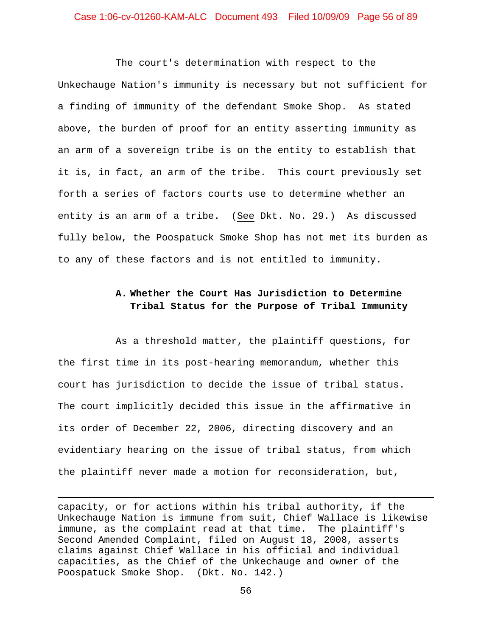## Case 1:06-cv-01260-KAM-ALC Document 493 Filed 10/09/09 Page 56 of 89

The court's determination with respect to the Unkechauge Nation's immunity is necessary but not sufficient for a finding of immunity of the defendant Smoke Shop. As stated above, the burden of proof for an entity asserting immunity as an arm of a sovereign tribe is on the entity to establish that it is, in fact, an arm of the tribe. This court previously set forth a series of factors courts use to determine whether an entity is an arm of a tribe. (See Dkt. No. 29.) As discussed fully below, the Poospatuck Smoke Shop has not met its burden as to any of these factors and is not entitled to immunity.

# **A. Whether the Court Has Jurisdiction to Determine Tribal Status for the Purpose of Tribal Immunity**

As a threshold matter, the plaintiff questions, for the first time in its post-hearing memorandum, whether this court has jurisdiction to decide the issue of tribal status. The court implicitly decided this issue in the affirmative in its order of December 22, 2006, directing discovery and an evidentiary hearing on the issue of tribal status, from which the plaintiff never made a motion for reconsideration, but,

capacity, or for actions within his tribal authority, if the Unkechauge Nation is immune from suit, Chief Wallace is likewise immune, as the complaint read at that time. The plaintiff's Second Amended Complaint, filed on August 18, 2008, asserts claims against Chief Wallace in his official and individual capacities, as the Chief of the Unkechauge and owner of the Poospatuck Smoke Shop. (Dkt. No. 142.)

l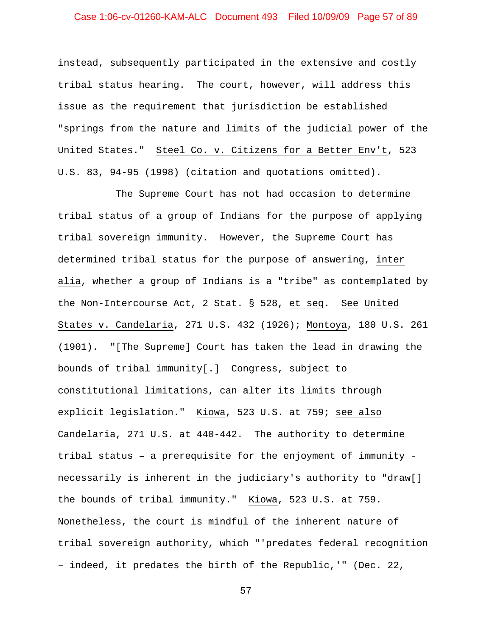## Case 1:06-cv-01260-KAM-ALC Document 493 Filed 10/09/09 Page 57 of 89

instead, subsequently participated in the extensive and costly tribal status hearing. The court, however, will address this issue as the requirement that jurisdiction be established "springs from the nature and limits of the judicial power of the United States." Steel Co. v. Citizens for a Better Env't, 523 U.S. 83, 94-95 (1998) (citation and quotations omitted).

The Supreme Court has not had occasion to determine tribal status of a group of Indians for the purpose of applying tribal sovereign immunity. However, the Supreme Court has determined tribal status for the purpose of answering, inter alia, whether a group of Indians is a "tribe" as contemplated by the Non-Intercourse Act, 2 Stat. § 528, et seq. See United States v. Candelaria, 271 U.S. 432 (1926); Montoya, 180 U.S. 261 (1901). "[The Supreme] Court has taken the lead in drawing the bounds of tribal immunity[.] Congress, subject to constitutional limitations, can alter its limits through explicit legislation." Kiowa, 523 U.S. at 759; see also Candelaria, 271 U.S. at 440-442. The authority to determine tribal status – a prerequisite for the enjoyment of immunity necessarily is inherent in the judiciary's authority to "draw[] the bounds of tribal immunity." Kiowa, 523 U.S. at 759. Nonetheless, the court is mindful of the inherent nature of tribal sovereign authority, which "'predates federal recognition – indeed, it predates the birth of the Republic,'" (Dec. 22,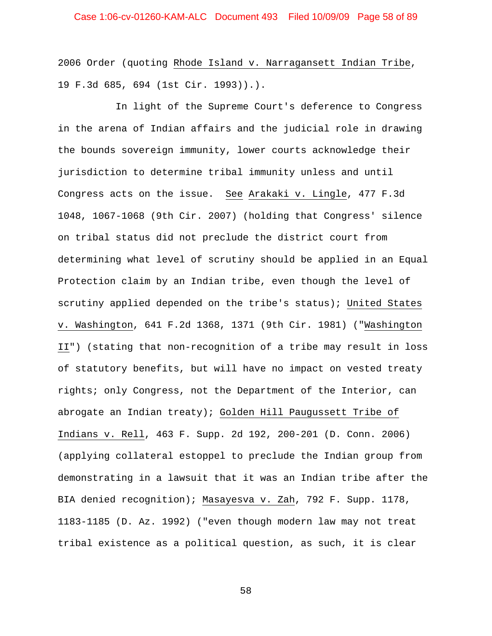2006 Order (quoting Rhode Island v. Narragansett Indian Tribe, 19 F.3d 685, 694 (1st Cir. 1993)).).

In light of the Supreme Court's deference to Congress in the arena of Indian affairs and the judicial role in drawing the bounds sovereign immunity, lower courts acknowledge their jurisdiction to determine tribal immunity unless and until Congress acts on the issue. See Arakaki v. Lingle, 477 F.3d 1048, 1067-1068 (9th Cir. 2007) (holding that Congress' silence on tribal status did not preclude the district court from determining what level of scrutiny should be applied in an Equal Protection claim by an Indian tribe, even though the level of scrutiny applied depended on the tribe's status); United States v. Washington, 641 F.2d 1368, 1371 (9th Cir. 1981) ("Washington II") (stating that non-recognition of a tribe may result in loss of statutory benefits, but will have no impact on vested treaty rights; only Congress, not the Department of the Interior, can abrogate an Indian treaty); Golden Hill Paugussett Tribe of Indians v. Rell, 463 F. Supp. 2d 192, 200-201 (D. Conn. 2006) (applying collateral estoppel to preclude the Indian group from demonstrating in a lawsuit that it was an Indian tribe after the BIA denied recognition); Masayesva v. Zah, 792 F. Supp. 1178, 1183-1185 (D. Az. 1992) ("even though modern law may not treat tribal existence as a political question, as such, it is clear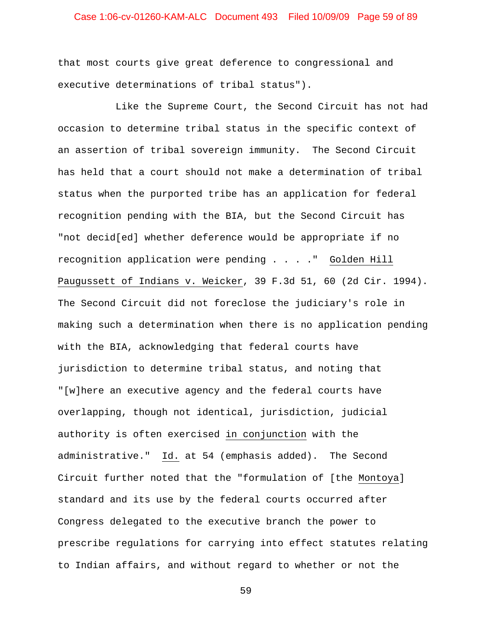## Case 1:06-cv-01260-KAM-ALC Document 493 Filed 10/09/09 Page 59 of 89

that most courts give great deference to congressional and executive determinations of tribal status").

Like the Supreme Court, the Second Circuit has not had occasion to determine tribal status in the specific context of an assertion of tribal sovereign immunity. The Second Circuit has held that a court should not make a determination of tribal status when the purported tribe has an application for federal recognition pending with the BIA, but the Second Circuit has "not decid[ed] whether deference would be appropriate if no recognition application were pending . . . ." Golden Hill Paugussett of Indians v. Weicker, 39 F.3d 51, 60 (2d Cir. 1994). The Second Circuit did not foreclose the judiciary's role in making such a determination when there is no application pending with the BIA, acknowledging that federal courts have jurisdiction to determine tribal status, and noting that "[w]here an executive agency and the federal courts have overlapping, though not identical, jurisdiction, judicial authority is often exercised in conjunction with the administrative." Id. at 54 (emphasis added). The Second Circuit further noted that the "formulation of [the Montoya] standard and its use by the federal courts occurred after Congress delegated to the executive branch the power to prescribe regulations for carrying into effect statutes relating to Indian affairs, and without regard to whether or not the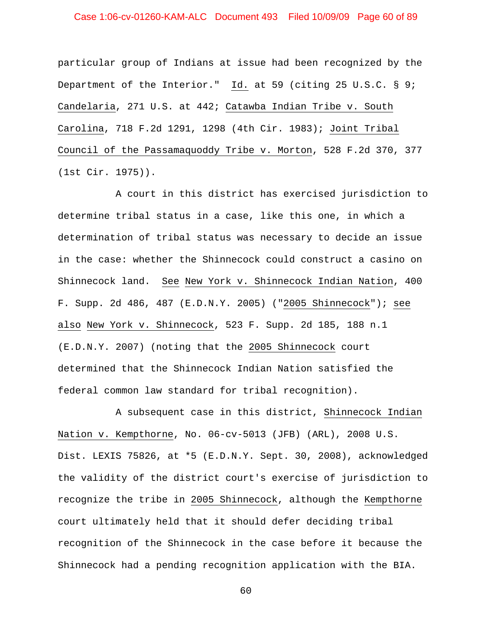## Case 1:06-cv-01260-KAM-ALC Document 493 Filed 10/09/09 Page 60 of 89

particular group of Indians at issue had been recognized by the Department of the Interior." Id. at 59 (citing 25 U.S.C. § 9; Candelaria, 271 U.S. at 442; Catawba Indian Tribe v. South Carolina, 718 F.2d 1291, 1298 (4th Cir. 1983); Joint Tribal Council of the Passamaquoddy Tribe v. Morton, 528 F.2d 370, 377 (1st Cir. 1975)).

A court in this district has exercised jurisdiction to determine tribal status in a case, like this one, in which a determination of tribal status was necessary to decide an issue in the case: whether the Shinnecock could construct a casino on Shinnecock land. See New York v. Shinnecock Indian Nation, 400 F. Supp. 2d 486, 487 (E.D.N.Y. 2005) ("2005 Shinnecock"); see also New York v. Shinnecock, 523 F. Supp. 2d 185, 188 n.1 (E.D.N.Y. 2007) (noting that the 2005 Shinnecock court determined that the Shinnecock Indian Nation satisfied the federal common law standard for tribal recognition).

A subsequent case in this district, Shinnecock Indian Nation v. Kempthorne, No. 06-cv-5013 (JFB) (ARL), 2008 U.S. Dist. LEXIS 75826, at \*5 (E.D.N.Y. Sept. 30, 2008), acknowledged the validity of the district court's exercise of jurisdiction to recognize the tribe in 2005 Shinnecock, although the Kempthorne court ultimately held that it should defer deciding tribal recognition of the Shinnecock in the case before it because the Shinnecock had a pending recognition application with the BIA.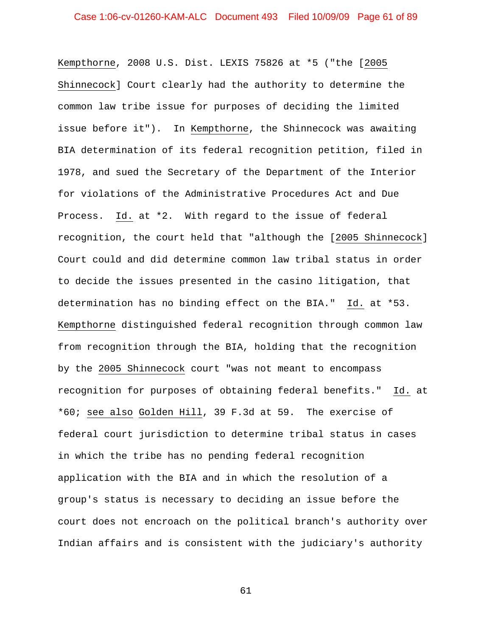Kempthorne, 2008 U.S. Dist. LEXIS 75826 at \*5 ("the [2005 Shinnecock] Court clearly had the authority to determine the common law tribe issue for purposes of deciding the limited issue before it"). In Kempthorne, the Shinnecock was awaiting BIA determination of its federal recognition petition, filed in 1978, and sued the Secretary of the Department of the Interior for violations of the Administrative Procedures Act and Due Process. Id. at \*2. With regard to the issue of federal recognition, the court held that "although the [2005 Shinnecock] Court could and did determine common law tribal status in order to decide the issues presented in the casino litigation, that determination has no binding effect on the BIA." Id. at \*53. Kempthorne distinguished federal recognition through common law from recognition through the BIA, holding that the recognition by the 2005 Shinnecock court "was not meant to encompass recognition for purposes of obtaining federal benefits." Id. at \*60; see also Golden Hill, 39 F.3d at 59. The exercise of federal court jurisdiction to determine tribal status in cases in which the tribe has no pending federal recognition application with the BIA and in which the resolution of a group's status is necessary to deciding an issue before the court does not encroach on the political branch's authority over Indian affairs and is consistent with the judiciary's authority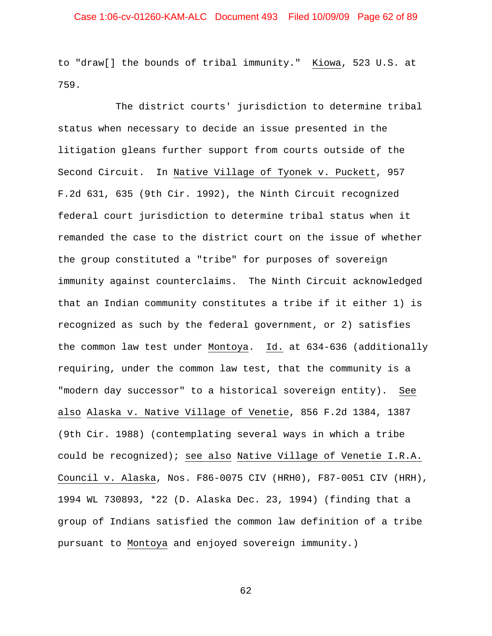to "draw[] the bounds of tribal immunity." Kiowa, 523 U.S. at 759.

The district courts' jurisdiction to determine tribal status when necessary to decide an issue presented in the litigation gleans further support from courts outside of the Second Circuit. In Native Village of Tyonek v. Puckett, 957 F.2d 631, 635 (9th Cir. 1992), the Ninth Circuit recognized federal court jurisdiction to determine tribal status when it remanded the case to the district court on the issue of whether the group constituted a "tribe" for purposes of sovereign immunity against counterclaims. The Ninth Circuit acknowledged that an Indian community constitutes a tribe if it either 1) is recognized as such by the federal government, or 2) satisfies the common law test under Montoya. Id. at 634-636 (additionally requiring, under the common law test, that the community is a "modern day successor" to a historical sovereign entity). See also Alaska v. Native Village of Venetie, 856 F.2d 1384, 1387 (9th Cir. 1988) (contemplating several ways in which a tribe could be recognized); see also Native Village of Venetie I.R.A. Council v. Alaska, Nos. F86-0075 CIV (HRH0), F87-0051 CIV (HRH), 1994 WL 730893, \*22 (D. Alaska Dec. 23, 1994) (finding that a group of Indians satisfied the common law definition of a tribe pursuant to Montoya and enjoyed sovereign immunity.)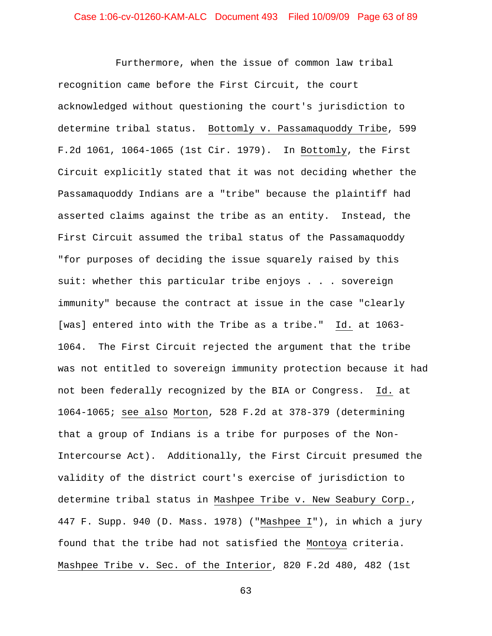Furthermore, when the issue of common law tribal recognition came before the First Circuit, the court acknowledged without questioning the court's jurisdiction to determine tribal status. Bottomly v. Passamaquoddy Tribe, 599 F.2d 1061, 1064-1065 (1st Cir. 1979). In Bottomly, the First Circuit explicitly stated that it was not deciding whether the Passamaquoddy Indians are a "tribe" because the plaintiff had asserted claims against the tribe as an entity. Instead, the First Circuit assumed the tribal status of the Passamaquoddy "for purposes of deciding the issue squarely raised by this suit: whether this particular tribe enjoys . . . sovereign immunity" because the contract at issue in the case "clearly [was] entered into with the Tribe as a tribe." Id. at 1063- 1064. The First Circuit rejected the argument that the tribe was not entitled to sovereign immunity protection because it had not been federally recognized by the BIA or Congress. Id. at 1064-1065; see also Morton, 528 F.2d at 378-379 (determining that a group of Indians is a tribe for purposes of the Non-Intercourse Act). Additionally, the First Circuit presumed the validity of the district court's exercise of jurisdiction to determine tribal status in Mashpee Tribe v. New Seabury Corp., 447 F. Supp. 940 (D. Mass. 1978) ("Mashpee I"), in which a jury found that the tribe had not satisfied the Montoya criteria. Mashpee Tribe v. Sec. of the Interior, 820 F.2d 480, 482 (1st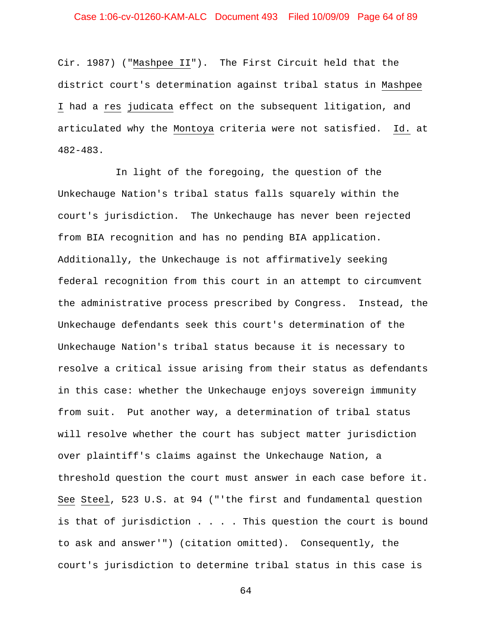Cir. 1987) ("Mashpee II"). The First Circuit held that the district court's determination against tribal status in Mashpee I had a res judicata effect on the subsequent litigation, and articulated why the Montoya criteria were not satisfied. Id. at 482-483.

In light of the foregoing, the question of the Unkechauge Nation's tribal status falls squarely within the court's jurisdiction. The Unkechauge has never been rejected from BIA recognition and has no pending BIA application. Additionally, the Unkechauge is not affirmatively seeking federal recognition from this court in an attempt to circumvent the administrative process prescribed by Congress. Instead, the Unkechauge defendants seek this court's determination of the Unkechauge Nation's tribal status because it is necessary to resolve a critical issue arising from their status as defendants in this case: whether the Unkechauge enjoys sovereign immunity from suit. Put another way, a determination of tribal status will resolve whether the court has subject matter jurisdiction over plaintiff's claims against the Unkechauge Nation, a threshold question the court must answer in each case before it. See Steel, 523 U.S. at 94 ("'the first and fundamental question is that of jurisdiction . . . . This question the court is bound to ask and answer'") (citation omitted). Consequently, the court's jurisdiction to determine tribal status in this case is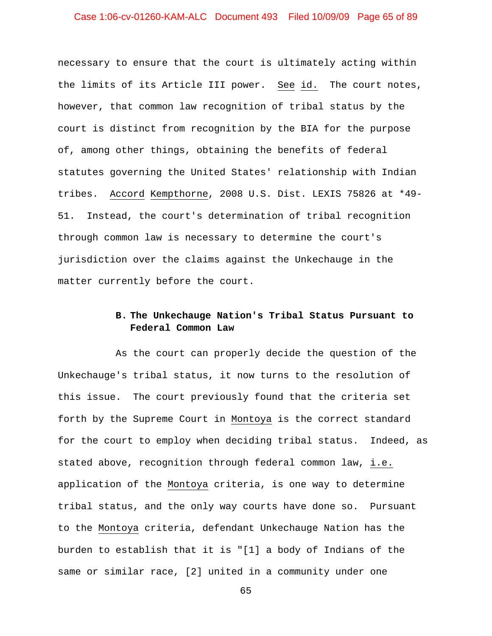## Case 1:06-cv-01260-KAM-ALC Document 493 Filed 10/09/09 Page 65 of 89

necessary to ensure that the court is ultimately acting within the limits of its Article III power. See id. The court notes, however, that common law recognition of tribal status by the court is distinct from recognition by the BIA for the purpose of, among other things, obtaining the benefits of federal statutes governing the United States' relationship with Indian tribes. Accord Kempthorne, 2008 U.S. Dist. LEXIS 75826 at \*49- 51. Instead, the court's determination of tribal recognition through common law is necessary to determine the court's jurisdiction over the claims against the Unkechauge in the matter currently before the court.

# **B. The Unkechauge Nation's Tribal Status Pursuant to Federal Common Law**

As the court can properly decide the question of the Unkechauge's tribal status, it now turns to the resolution of this issue. The court previously found that the criteria set forth by the Supreme Court in Montoya is the correct standard for the court to employ when deciding tribal status. Indeed, as stated above, recognition through federal common law, i.e. application of the Montoya criteria, is one way to determine tribal status, and the only way courts have done so. Pursuant to the Montoya criteria, defendant Unkechauge Nation has the burden to establish that it is "[1] a body of Indians of the same or similar race, [2] united in a community under one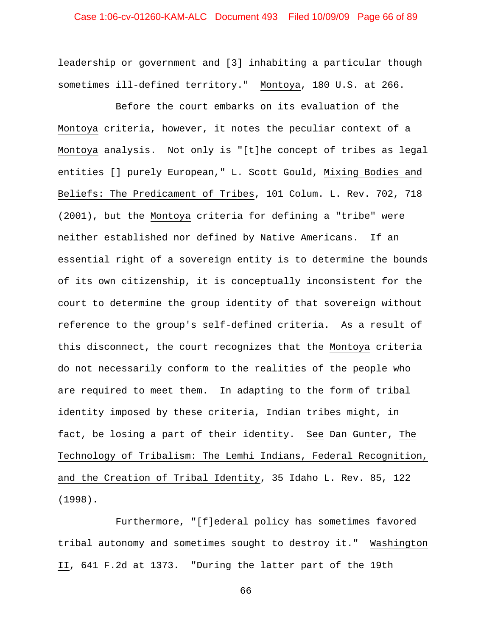## Case 1:06-cv-01260-KAM-ALC Document 493 Filed 10/09/09 Page 66 of 89

leadership or government and [3] inhabiting a particular though sometimes ill-defined territory." Montoya, 180 U.S. at 266.

Before the court embarks on its evaluation of the Montoya criteria, however, it notes the peculiar context of a Montoya analysis. Not only is "[t]he concept of tribes as legal entities [] purely European," L. Scott Gould, Mixing Bodies and Beliefs: The Predicament of Tribes, 101 Colum. L. Rev. 702, 718 (2001), but the Montoya criteria for defining a "tribe" were neither established nor defined by Native Americans. If an essential right of a sovereign entity is to determine the bounds of its own citizenship, it is conceptually inconsistent for the court to determine the group identity of that sovereign without reference to the group's self-defined criteria. As a result of this disconnect, the court recognizes that the Montoya criteria do not necessarily conform to the realities of the people who are required to meet them. In adapting to the form of tribal identity imposed by these criteria, Indian tribes might, in fact, be losing a part of their identity. See Dan Gunter, The Technology of Tribalism: The Lemhi Indians, Federal Recognition, and the Creation of Tribal Identity, 35 Idaho L. Rev. 85, 122 (1998).

Furthermore, "[f]ederal policy has sometimes favored tribal autonomy and sometimes sought to destroy it." Washington II, 641 F.2d at 1373. "During the latter part of the 19th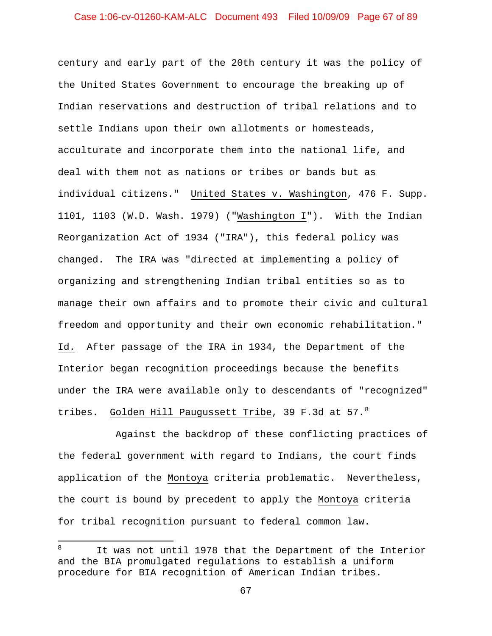## Case 1:06-cv-01260-KAM-ALC Document 493 Filed 10/09/09 Page 67 of 89

century and early part of the 20th century it was the policy of the United States Government to encourage the breaking up of Indian reservations and destruction of tribal relations and to settle Indians upon their own allotments or homesteads, acculturate and incorporate them into the national life, and deal with them not as nations or tribes or bands but as individual citizens." United States v. Washington, 476 F. Supp. 1101, 1103 (W.D. Wash. 1979) ("Washington I"). With the Indian Reorganization Act of 1934 ("IRA"), this federal policy was changed. The IRA was "directed at implementing a policy of organizing and strengthening Indian tribal entities so as to manage their own affairs and to promote their civic and cultural freedom and opportunity and their own economic rehabilitation." Id. After passage of the IRA in 1934, the Department of the Interior began recognition proceedings because the benefits under the IRA were available only to descendants of "recognized" tribes. <u>Golden Hill Paugussett Tribe</u>, 39 F.3d at 57.<sup>[8](#page-66-0)</sup>

Against the backdrop of these conflicting practices of the federal government with regard to Indians, the court finds application of the Montoya criteria problematic. Nevertheless, the court is bound by precedent to apply the Montoya criteria for tribal recognition pursuant to federal common law.

 $\overline{\phantom{0}}$ 

<span id="page-66-0"></span><sup>8</sup> It was not until 1978 that the Department of the Interior and the BIA promulgated regulations to establish a uniform procedure for BIA recognition of American Indian tribes.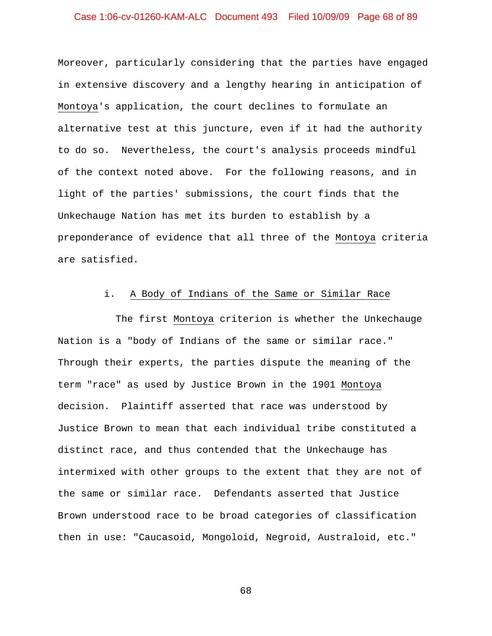## Case 1:06-cv-01260-KAM-ALC Document 493 Filed 10/09/09 Page 68 of 89

Moreover, particularly considering that the parties have engaged in extensive discovery and a lengthy hearing in anticipation of Montoya's application, the court declines to formulate an alternative test at this juncture, even if it had the authority to do so. Nevertheless, the court's analysis proceeds mindful of the context noted above. For the following reasons, and in light of the parties' submissions, the court finds that the Unkechauge Nation has met its burden to establish by a preponderance of evidence that all three of the Montoya criteria are satisfied.

### i. A Body of Indians of the Same or Similar Race

The first Montoya criterion is whether the Unkechauge Nation is a "body of Indians of the same or similar race." Through their experts, the parties dispute the meaning of the term "race" as used by Justice Brown in the 1901 Montoya decision. Plaintiff asserted that race was understood by Justice Brown to mean that each individual tribe constituted a distinct race, and thus contended that the Unkechauge has intermixed with other groups to the extent that they are not of the same or similar race. Defendants asserted that Justice Brown understood race to be broad categories of classification then in use: "Caucasoid, Mongoloid, Negroid, Australoid, etc."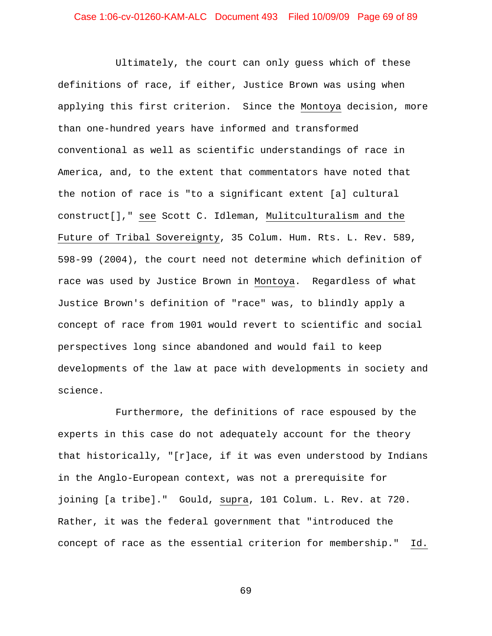Ultimately, the court can only guess which of these definitions of race, if either, Justice Brown was using when applying this first criterion. Since the Montoya decision, more than one-hundred years have informed and transformed conventional as well as scientific understandings of race in America, and, to the extent that commentators have noted that the notion of race is "to a significant extent [a] cultural construct[]," see Scott C. Idleman, Mulitculturalism and the Future of Tribal Sovereignty, 35 Colum. Hum. Rts. L. Rev. 589, 598-99 (2004), the court need not determine which definition of race was used by Justice Brown in Montoya. Regardless of what Justice Brown's definition of "race" was, to blindly apply a concept of race from 1901 would revert to scientific and social perspectives long since abandoned and would fail to keep developments of the law at pace with developments in society and science.

Furthermore, the definitions of race espoused by the experts in this case do not adequately account for the theory that historically, "[r]ace, if it was even understood by Indians in the Anglo-European context, was not a prerequisite for joining [a tribe]." Gould, supra, 101 Colum. L. Rev. at 720. Rather, it was the federal government that "introduced the concept of race as the essential criterion for membership." Id.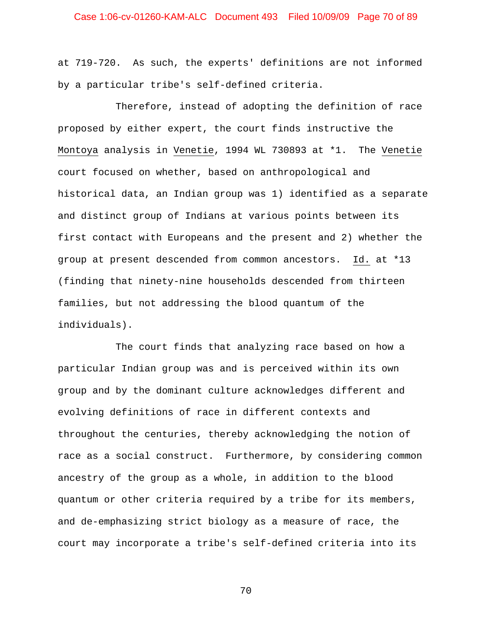## Case 1:06-cv-01260-KAM-ALC Document 493 Filed 10/09/09 Page 70 of 89

at 719-720. As such, the experts' definitions are not informed by a particular tribe's self-defined criteria.

Therefore, instead of adopting the definition of race proposed by either expert, the court finds instructive the Montoya analysis in Venetie, 1994 WL 730893 at \*1. The Venetie court focused on whether, based on anthropological and historical data, an Indian group was 1) identified as a separate and distinct group of Indians at various points between its first contact with Europeans and the present and 2) whether the group at present descended from common ancestors. Id. at \*13 (finding that ninety-nine households descended from thirteen families, but not addressing the blood quantum of the individuals).

The court finds that analyzing race based on how a particular Indian group was and is perceived within its own group and by the dominant culture acknowledges different and evolving definitions of race in different contexts and throughout the centuries, thereby acknowledging the notion of race as a social construct. Furthermore, by considering common ancestry of the group as a whole, in addition to the blood quantum or other criteria required by a tribe for its members, and de-emphasizing strict biology as a measure of race, the court may incorporate a tribe's self-defined criteria into its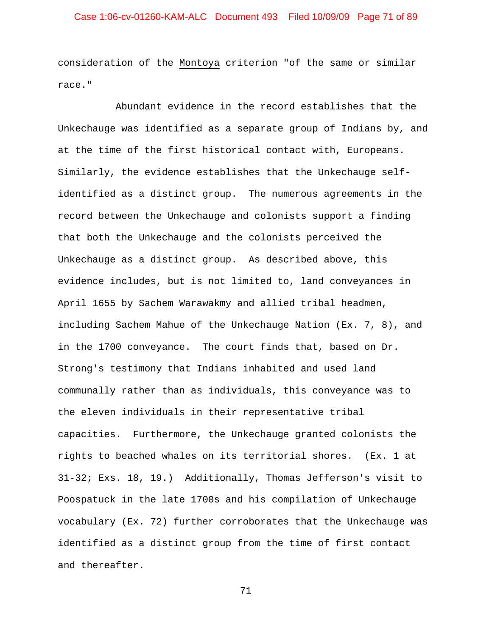## Case 1:06-cv-01260-KAM-ALC Document 493 Filed 10/09/09 Page 71 of 89

consideration of the Montoya criterion "of the same or similar race."

Abundant evidence in the record establishes that the Unkechauge was identified as a separate group of Indians by, and at the time of the first historical contact with, Europeans. Similarly, the evidence establishes that the Unkechauge selfidentified as a distinct group. The numerous agreements in the record between the Unkechauge and colonists support a finding that both the Unkechauge and the colonists perceived the Unkechauge as a distinct group. As described above, this evidence includes, but is not limited to, land conveyances in April 1655 by Sachem Warawakmy and allied tribal headmen, including Sachem Mahue of the Unkechauge Nation (Ex. 7, 8), and in the 1700 conveyance. The court finds that, based on Dr. Strong's testimony that Indians inhabited and used land communally rather than as individuals, this conveyance was to the eleven individuals in their representative tribal capacities. Furthermore, the Unkechauge granted colonists the rights to beached whales on its territorial shores. (Ex. 1 at 31-32; Exs. 18, 19.) Additionally, Thomas Jefferson's visit to Poospatuck in the late 1700s and his compilation of Unkechauge vocabulary (Ex. 72) further corroborates that the Unkechauge was identified as a distinct group from the time of first contact and thereafter.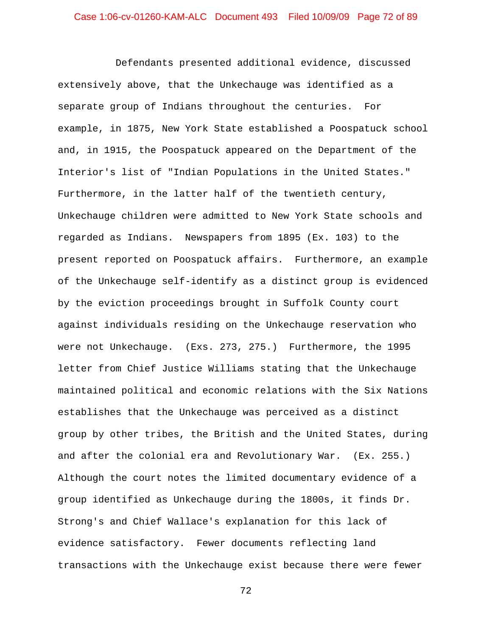Defendants presented additional evidence, discussed extensively above, that the Unkechauge was identified as a separate group of Indians throughout the centuries. For example, in 1875, New York State established a Poospatuck school and, in 1915, the Poospatuck appeared on the Department of the Interior's list of "Indian Populations in the United States." Furthermore, in the latter half of the twentieth century, Unkechauge children were admitted to New York State schools and regarded as Indians. Newspapers from 1895 (Ex. 103) to the present reported on Poospatuck affairs. Furthermore, an example of the Unkechauge self-identify as a distinct group is evidenced by the eviction proceedings brought in Suffolk County court against individuals residing on the Unkechauge reservation who were not Unkechauge. (Exs. 273, 275.) Furthermore, the 1995 letter from Chief Justice Williams stating that the Unkechauge maintained political and economic relations with the Six Nations establishes that the Unkechauge was perceived as a distinct group by other tribes, the British and the United States, during and after the colonial era and Revolutionary War. (Ex. 255.) Although the court notes the limited documentary evidence of a group identified as Unkechauge during the 1800s, it finds Dr. Strong's and Chief Wallace's explanation for this lack of evidence satisfactory. Fewer documents reflecting land transactions with the Unkechauge exist because there were fewer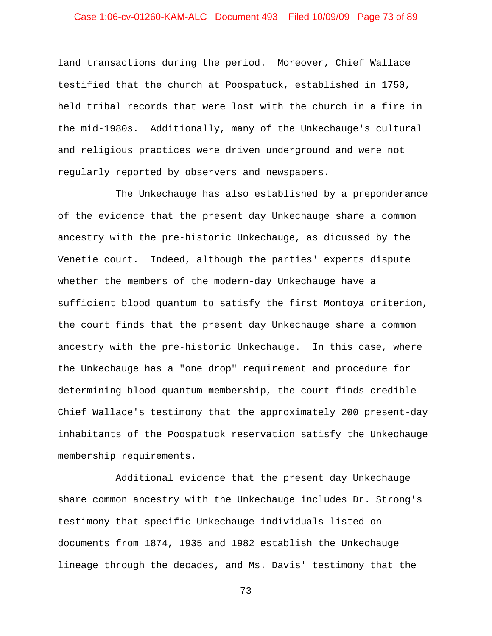## Case 1:06-cv-01260-KAM-ALC Document 493 Filed 10/09/09 Page 73 of 89

land transactions during the period. Moreover, Chief Wallace testified that the church at Poospatuck, established in 1750, held tribal records that were lost with the church in a fire in the mid-1980s. Additionally, many of the Unkechauge's cultural and religious practices were driven underground and were not regularly reported by observers and newspapers.

The Unkechauge has also established by a preponderance of the evidence that the present day Unkechauge share a common ancestry with the pre-historic Unkechauge, as dicussed by the Venetie court. Indeed, although the parties' experts dispute whether the members of the modern-day Unkechauge have a sufficient blood quantum to satisfy the first Montoya criterion, the court finds that the present day Unkechauge share a common ancestry with the pre-historic Unkechauge. In this case, where the Unkechauge has a "one drop" requirement and procedure for determining blood quantum membership, the court finds credible Chief Wallace's testimony that the approximately 200 present-day inhabitants of the Poospatuck reservation satisfy the Unkechauge membership requirements.

Additional evidence that the present day Unkechauge share common ancestry with the Unkechauge includes Dr. Strong's testimony that specific Unkechauge individuals listed on documents from 1874, 1935 and 1982 establish the Unkechauge lineage through the decades, and Ms. Davis' testimony that the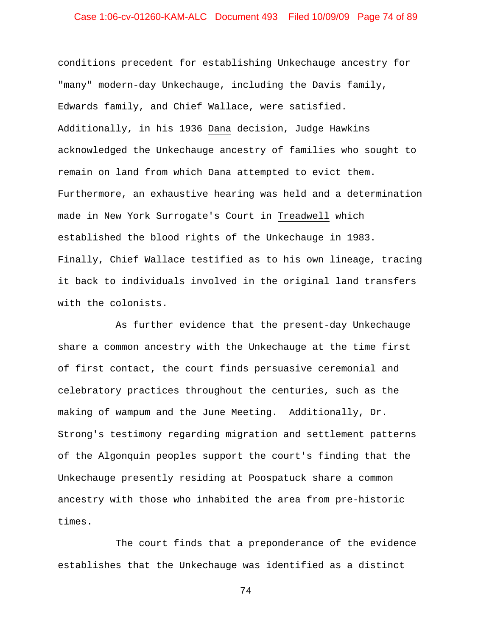## Case 1:06-cv-01260-KAM-ALC Document 493 Filed 10/09/09 Page 74 of 89

conditions precedent for establishing Unkechauge ancestry for "many" modern-day Unkechauge, including the Davis family, Edwards family, and Chief Wallace, were satisfied. Additionally, in his 1936 Dana decision, Judge Hawkins acknowledged the Unkechauge ancestry of families who sought to remain on land from which Dana attempted to evict them. Furthermore, an exhaustive hearing was held and a determination made in New York Surrogate's Court in Treadwell which established the blood rights of the Unkechauge in 1983. Finally, Chief Wallace testified as to his own lineage, tracing it back to individuals involved in the original land transfers with the colonists.

As further evidence that the present-day Unkechauge share a common ancestry with the Unkechauge at the time first of first contact, the court finds persuasive ceremonial and celebratory practices throughout the centuries, such as the making of wampum and the June Meeting. Additionally, Dr. Strong's testimony regarding migration and settlement patterns of the Algonquin peoples support the court's finding that the Unkechauge presently residing at Poospatuck share a common ancestry with those who inhabited the area from pre-historic times.

The court finds that a preponderance of the evidence establishes that the Unkechauge was identified as a distinct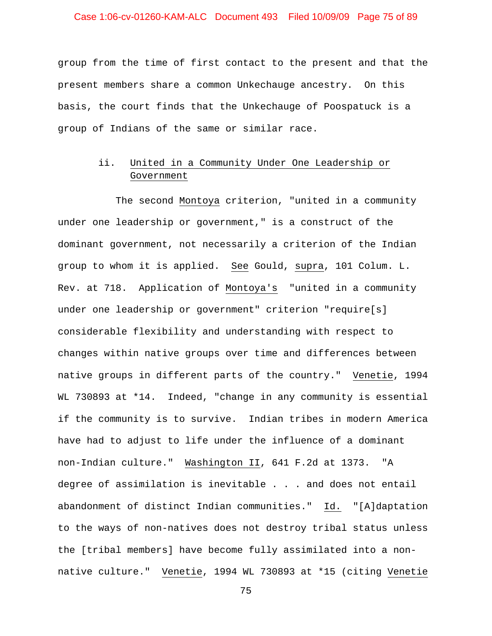## Case 1:06-cv-01260-KAM-ALC Document 493 Filed 10/09/09 Page 75 of 89

group from the time of first contact to the present and that the present members share a common Unkechauge ancestry. On this basis, the court finds that the Unkechauge of Poospatuck is a group of Indians of the same or similar race.

# ii. United in a Community Under One Leadership or Government

The second Montoya criterion, "united in a community under one leadership or government," is a construct of the dominant government, not necessarily a criterion of the Indian group to whom it is applied. See Gould, supra, 101 Colum. L. Rev. at 718. Application of Montoya's "united in a community under one leadership or government" criterion "require[s] considerable flexibility and understanding with respect to changes within native groups over time and differences between native groups in different parts of the country." Venetie, 1994 WL 730893 at \*14. Indeed, "change in any community is essential if the community is to survive. Indian tribes in modern America have had to adjust to life under the influence of a dominant non-Indian culture." Washington II, 641 F.2d at 1373. "A degree of assimilation is inevitable . . . and does not entail abandonment of distinct Indian communities." Id. "[A]daptation to the ways of non-natives does not destroy tribal status unless the [tribal members] have become fully assimilated into a nonnative culture." Venetie, 1994 WL 730893 at \*15 (citing Venetie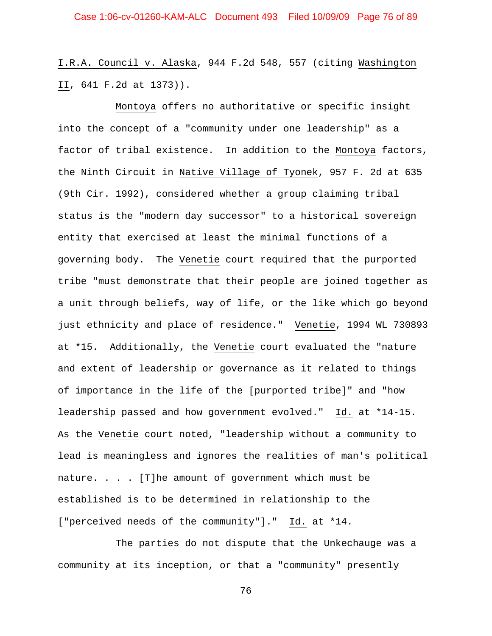I.R.A. Council v. Alaska, 944 F.2d 548, 557 (citing Washington II, 641 F.2d at 1373)).

Montoya offers no authoritative or specific insight into the concept of a "community under one leadership" as a factor of tribal existence. In addition to the Montoya factors, the Ninth Circuit in Native Village of Tyonek, 957 F. 2d at 635 (9th Cir. 1992), considered whether a group claiming tribal status is the "modern day successor" to a historical sovereign entity that exercised at least the minimal functions of a governing body. The Venetie court required that the purported tribe "must demonstrate that their people are joined together as a unit through beliefs, way of life, or the like which go beyond just ethnicity and place of residence." Venetie, 1994 WL 730893 at \*15. Additionally, the Venetie court evaluated the "nature and extent of leadership or governance as it related to things of importance in the life of the [purported tribe]" and "how leadership passed and how government evolved." Id. at \*14-15. As the Venetie court noted, "leadership without a community to lead is meaningless and ignores the realities of man's political nature.  $\ldots$  . [T]he amount of government which must be established is to be determined in relationship to the ["perceived needs of the community"]." Id. at \*14.

The parties do not dispute that the Unkechauge was a community at its inception, or that a "community" presently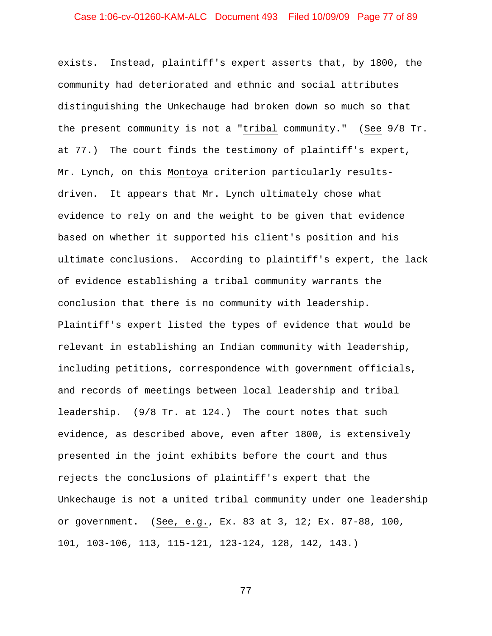## Case 1:06-cv-01260-KAM-ALC Document 493 Filed 10/09/09 Page 77 of 89

exists. Instead, plaintiff's expert asserts that, by 1800, the community had deteriorated and ethnic and social attributes distinguishing the Unkechauge had broken down so much so that the present community is not a "tribal community." (See 9/8 Tr. at 77.) The court finds the testimony of plaintiff's expert, Mr. Lynch, on this Montoya criterion particularly resultsdriven. It appears that Mr. Lynch ultimately chose what evidence to rely on and the weight to be given that evidence based on whether it supported his client's position and his ultimate conclusions. According to plaintiff's expert, the lack of evidence establishing a tribal community warrants the conclusion that there is no community with leadership. Plaintiff's expert listed the types of evidence that would be relevant in establishing an Indian community with leadership, including petitions, correspondence with government officials, and records of meetings between local leadership and tribal leadership. (9/8 Tr. at 124.) The court notes that such evidence, as described above, even after 1800, is extensively presented in the joint exhibits before the court and thus rejects the conclusions of plaintiff's expert that the Unkechauge is not a united tribal community under one leadership or government. (See, e.g., Ex. 83 at 3, 12; Ex. 87-88, 100, 101, 103-106, 113, 115-121, 123-124, 128, 142, 143.)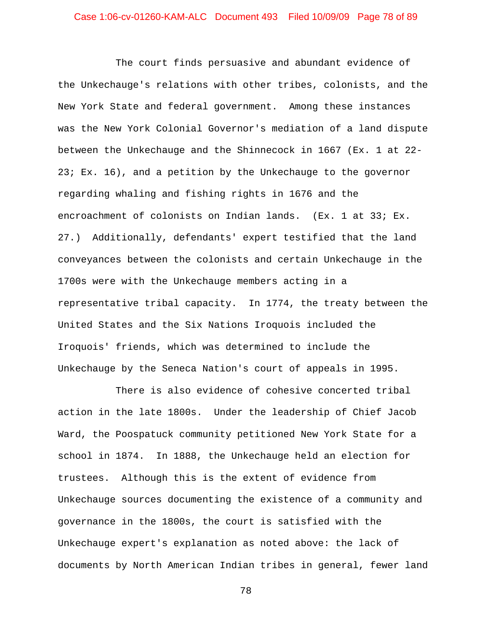## Case 1:06-cv-01260-KAM-ALC Document 493 Filed 10/09/09 Page 78 of 89

The court finds persuasive and abundant evidence of the Unkechauge's relations with other tribes, colonists, and the New York State and federal government. Among these instances was the New York Colonial Governor's mediation of a land dispute between the Unkechauge and the Shinnecock in 1667 (Ex. 1 at 22- 23; Ex. 16), and a petition by the Unkechauge to the governor regarding whaling and fishing rights in 1676 and the encroachment of colonists on Indian lands. (Ex. 1 at 33; Ex. 27.) Additionally, defendants' expert testified that the land conveyances between the colonists and certain Unkechauge in the 1700s were with the Unkechauge members acting in a representative tribal capacity. In 1774, the treaty between the United States and the Six Nations Iroquois included the Iroquois' friends, which was determined to include the Unkechauge by the Seneca Nation's court of appeals in 1995.

There is also evidence of cohesive concerted tribal action in the late 1800s. Under the leadership of Chief Jacob Ward, the Poospatuck community petitioned New York State for a school in 1874. In 1888, the Unkechauge held an election for trustees. Although this is the extent of evidence from Unkechauge sources documenting the existence of a community and governance in the 1800s, the court is satisfied with the Unkechauge expert's explanation as noted above: the lack of documents by North American Indian tribes in general, fewer land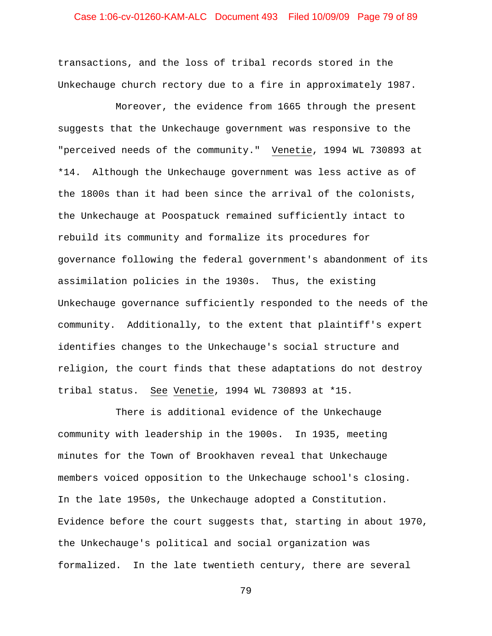## Case 1:06-cv-01260-KAM-ALC Document 493 Filed 10/09/09 Page 79 of 89

transactions, and the loss of tribal records stored in the Unkechauge church rectory due to a fire in approximately 1987.

Moreover, the evidence from 1665 through the present suggests that the Unkechauge government was responsive to the "perceived needs of the community." Venetie, 1994 WL 730893 at \*14. Although the Unkechauge government was less active as of the 1800s than it had been since the arrival of the colonists, the Unkechauge at Poospatuck remained sufficiently intact to rebuild its community and formalize its procedures for governance following the federal government's abandonment of its assimilation policies in the 1930s. Thus, the existing Unkechauge governance sufficiently responded to the needs of the community. Additionally, to the extent that plaintiff's expert identifies changes to the Unkechauge's social structure and religion, the court finds that these adaptations do not destroy tribal status. See Venetie, 1994 WL 730893 at \*15.

There is additional evidence of the Unkechauge community with leadership in the 1900s. In 1935, meeting minutes for the Town of Brookhaven reveal that Unkechauge members voiced opposition to the Unkechauge school's closing. In the late 1950s, the Unkechauge adopted a Constitution. Evidence before the court suggests that, starting in about 1970, the Unkechauge's political and social organization was formalized. In the late twentieth century, there are several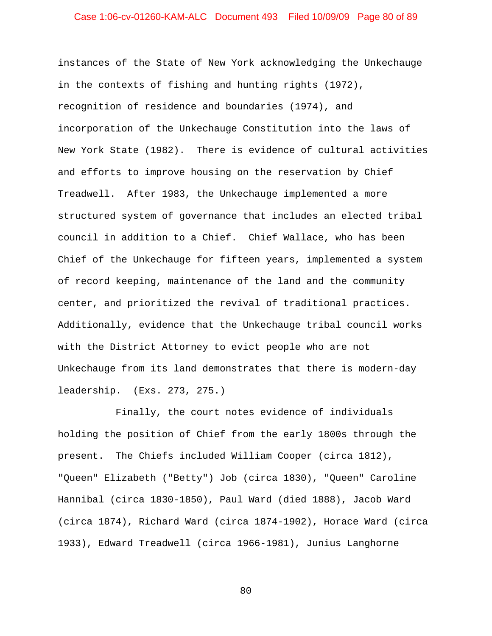## Case 1:06-cv-01260-KAM-ALC Document 493 Filed 10/09/09 Page 80 of 89

instances of the State of New York acknowledging the Unkechauge in the contexts of fishing and hunting rights (1972), recognition of residence and boundaries (1974), and incorporation of the Unkechauge Constitution into the laws of New York State (1982). There is evidence of cultural activities and efforts to improve housing on the reservation by Chief Treadwell. After 1983, the Unkechauge implemented a more structured system of governance that includes an elected tribal council in addition to a Chief. Chief Wallace, who has been Chief of the Unkechauge for fifteen years, implemented a system of record keeping, maintenance of the land and the community center, and prioritized the revival of traditional practices. Additionally, evidence that the Unkechauge tribal council works with the District Attorney to evict people who are not Unkechauge from its land demonstrates that there is modern-day leadership. (Exs. 273, 275.)

Finally, the court notes evidence of individuals holding the position of Chief from the early 1800s through the present. The Chiefs included William Cooper (circa 1812), "Queen" Elizabeth ("Betty") Job (circa 1830), "Queen" Caroline Hannibal (circa 1830-1850), Paul Ward (died 1888), Jacob Ward (circa 1874), Richard Ward (circa 1874-1902), Horace Ward (circa 1933), Edward Treadwell (circa 1966-1981), Junius Langhorne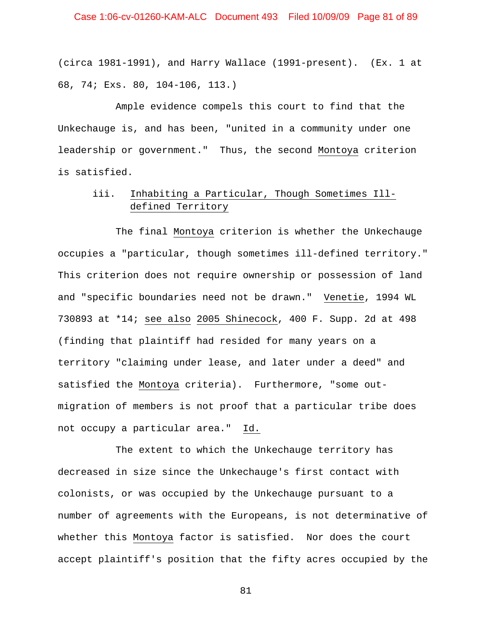## Case 1:06-cv-01260-KAM-ALC Document 493 Filed 10/09/09 Page 81 of 89

(circa 1981-1991), and Harry Wallace (1991-present). (Ex. 1 at 68, 74; Exs. 80, 104-106, 113.)

Ample evidence compels this court to find that the Unkechauge is, and has been, "united in a community under one leadership or government." Thus, the second Montoya criterion is satisfied.

# iii. Inhabiting a Particular, Though Sometimes Illdefined Territory

The final Montoya criterion is whether the Unkechauge occupies a "particular, though sometimes ill-defined territory." This criterion does not require ownership or possession of land and "specific boundaries need not be drawn." Venetie, 1994 WL 730893 at \*14; see also 2005 Shinecock, 400 F. Supp. 2d at 498 (finding that plaintiff had resided for many years on a territory "claiming under lease, and later under a deed" and satisfied the Montoya criteria). Furthermore, "some outmigration of members is not proof that a particular tribe does not occupy a particular area." Id.

The extent to which the Unkechauge territory has decreased in size since the Unkechauge's first contact with colonists, or was occupied by the Unkechauge pursuant to a number of agreements with the Europeans, is not determinative of whether this Montoya factor is satisfied. Nor does the court accept plaintiff's position that the fifty acres occupied by the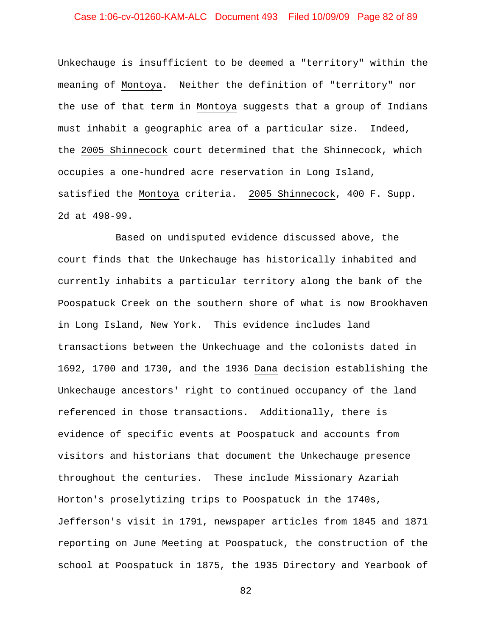## Case 1:06-cv-01260-KAM-ALC Document 493 Filed 10/09/09 Page 82 of 89

Unkechauge is insufficient to be deemed a "territory" within the meaning of Montoya. Neither the definition of "territory" nor the use of that term in Montoya suggests that a group of Indians must inhabit a geographic area of a particular size. Indeed, the 2005 Shinnecock court determined that the Shinnecock, which occupies a one-hundred acre reservation in Long Island, satisfied the Montoya criteria. 2005 Shinnecock, 400 F. Supp. 2d at 498-99.

Based on undisputed evidence discussed above, the court finds that the Unkechauge has historically inhabited and currently inhabits a particular territory along the bank of the Poospatuck Creek on the southern shore of what is now Brookhaven in Long Island, New York. This evidence includes land transactions between the Unkechuage and the colonists dated in 1692, 1700 and 1730, and the 1936 Dana decision establishing the Unkechauge ancestors' right to continued occupancy of the land referenced in those transactions. Additionally, there is evidence of specific events at Poospatuck and accounts from visitors and historians that document the Unkechauge presence throughout the centuries. These include Missionary Azariah Horton's proselytizing trips to Poospatuck in the 1740s, Jefferson's visit in 1791, newspaper articles from 1845 and 1871 reporting on June Meeting at Poospatuck, the construction of the school at Poospatuck in 1875, the 1935 Directory and Yearbook of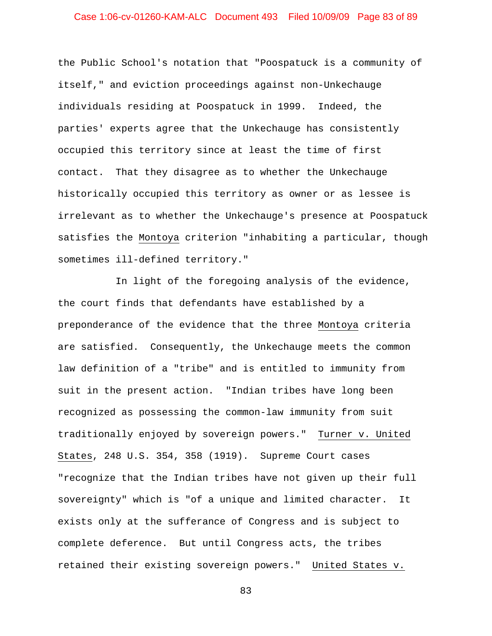## Case 1:06-cv-01260-KAM-ALC Document 493 Filed 10/09/09 Page 83 of 89

the Public School's notation that "Poospatuck is a community of itself," and eviction proceedings against non-Unkechauge individuals residing at Poospatuck in 1999. Indeed, the parties' experts agree that the Unkechauge has consistently occupied this territory since at least the time of first contact. That they disagree as to whether the Unkechauge historically occupied this territory as owner or as lessee is irrelevant as to whether the Unkechauge's presence at Poospatuck satisfies the Montoya criterion "inhabiting a particular, though sometimes ill-defined territory."

In light of the foregoing analysis of the evidence, the court finds that defendants have established by a preponderance of the evidence that the three Montoya criteria are satisfied. Consequently, the Unkechauge meets the common law definition of a "tribe" and is entitled to immunity from suit in the present action. "Indian tribes have long been recognized as possessing the common-law immunity from suit traditionally enjoyed by sovereign powers." Turner v. United States, 248 U.S. 354, 358 (1919). Supreme Court cases "recognize that the Indian tribes have not given up their full sovereignty" which is "of a unique and limited character. It exists only at the sufferance of Congress and is subject to complete deference. But until Congress acts, the tribes retained their existing sovereign powers." United States v.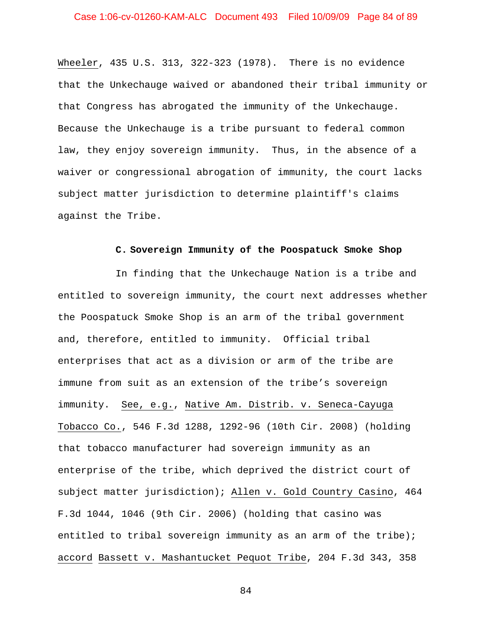Wheeler, 435 U.S. 313, 322-323 (1978). There is no evidence that the Unkechauge waived or abandoned their tribal immunity or that Congress has abrogated the immunity of the Unkechauge. Because the Unkechauge is a tribe pursuant to federal common law, they enjoy sovereign immunity. Thus, in the absence of a waiver or congressional abrogation of immunity, the court lacks subject matter jurisdiction to determine plaintiff's claims against the Tribe.

### **C. Sovereign Immunity of the Poospatuck Smoke Shop**

In finding that the Unkechauge Nation is a tribe and entitled to sovereign immunity, the court next addresses whether the Poospatuck Smoke Shop is an arm of the tribal government and, therefore, entitled to immunity. Official tribal enterprises that act as a division or arm of the tribe are immune from suit as an extension of the tribe's sovereign immunity. See, e.g., Native Am. Distrib. v. Seneca-Cayuga Tobacco Co., 546 F.3d 1288, 1292-96 (10th Cir. 2008) (holding that tobacco manufacturer had sovereign immunity as an enterprise of the tribe, which deprived the district court of subject matter jurisdiction); Allen v. Gold Country Casino, 464 F.3d 1044, 1046 (9th Cir. 2006) (holding that casino was entitled to tribal sovereign immunity as an arm of the tribe); accord Bassett v. Mashantucket Pequot Tribe, 204 F.3d 343, 358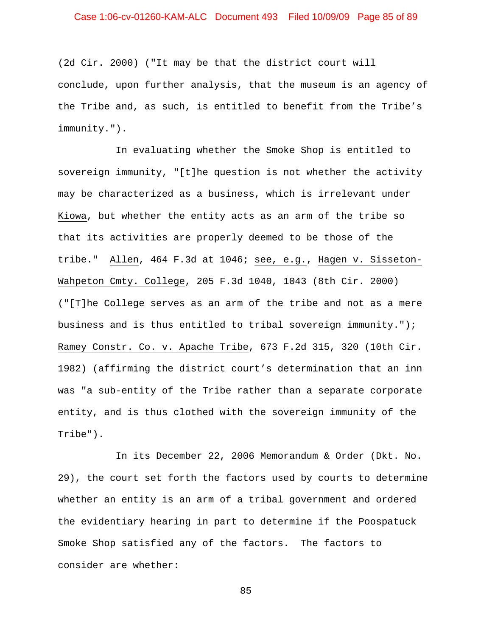## Case 1:06-cv-01260-KAM-ALC Document 493 Filed 10/09/09 Page 85 of 89

(2d Cir. 2000) ("It may be that the district court will conclude, upon further analysis, that the museum is an agency of the Tribe and, as such, is entitled to benefit from the Tribe's immunity.").

In evaluating whether the Smoke Shop is entitled to sovereign immunity, "[t]he question is not whether the activity may be characterized as a business, which is irrelevant under Kiowa, but whether the entity acts as an arm of the tribe so that its activities are properly deemed to be those of the tribe." Allen, 464 F.3d at 1046; see, e.g., Hagen v. Sisseton-Wahpeton Cmty. College, 205 F.3d 1040, 1043 (8th Cir. 2000) ("[T]he College serves as an arm of the tribe and not as a mere business and is thus entitled to tribal sovereign immunity."); Ramey Constr. Co. v. Apache Tribe, 673 F.2d 315, 320 (10th Cir. 1982) (affirming the district court's determination that an inn was "a sub-entity of the Tribe rather than a separate corporate entity, and is thus clothed with the sovereign immunity of the Tribe").

In its December 22, 2006 Memorandum & Order (Dkt. No. 29), the court set forth the factors used by courts to determine whether an entity is an arm of a tribal government and ordered the evidentiary hearing in part to determine if the Poospatuck Smoke Shop satisfied any of the factors. The factors to consider are whether: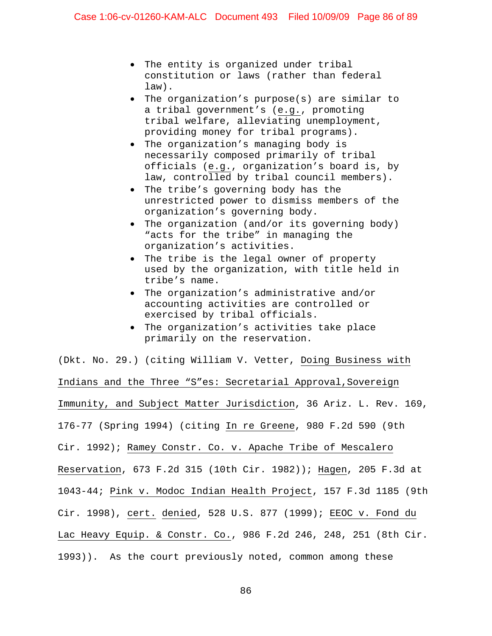- The entity is organized under tribal constitution or laws (rather than federal law).
- The organization's purpose(s) are similar to a tribal government's (e.g., promoting tribal welfare, alleviating unemployment, providing money for tribal programs).
- The organization's managing body is necessarily composed primarily of tribal officials (e.g., organization's board is, by law, controlled by tribal council members).
- The tribe's governing body has the unrestricted power to dismiss members of the organization's governing body.
- The organization (and/or its governing body) "acts for the tribe" in managing the organization's activities.
- The tribe is the legal owner of property used by the organization, with title held in tribe's name.
- The organization's administrative and/or accounting activities are controlled or exercised by tribal officials.
- The organization's activities take place primarily on the reservation.

(Dkt. No. 29.) (citing William V. Vetter, Doing Business with Indians and the Three "S"es: Secretarial Approval, Sovereign Immunity, and Subject Matter Jurisdiction, 36 Ariz. L. Rev. 169, 176-77 (Spring 1994) (citing In re Greene, 980 F.2d 590 (9th Cir. 1992); Ramey Constr. Co. v. Apache Tribe of Mescalero Reservation, 673 F.2d 315 (10th Cir. 1982)); Hagen, 205 F.3d at 1043-44; Pink v. Modoc Indian Health Project, 157 F.3d 1185 (9th Cir. 1998), cert. denied, 528 U.S. 877 (1999); EEOC v. Fond du Lac Heavy Equip. & Constr. Co., 986 F.2d 246, 248, 251 (8th Cir. 1993)). As the court previously noted, common among these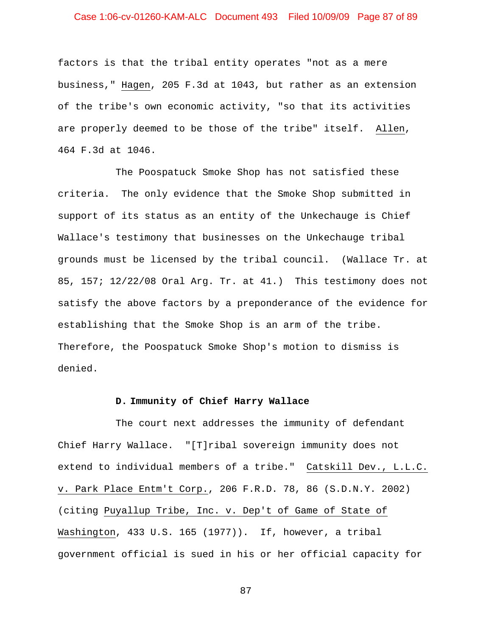## Case 1:06-cv-01260-KAM-ALC Document 493 Filed 10/09/09 Page 87 of 89

factors is that the tribal entity operates "not as a mere business," Hagen, 205 F.3d at 1043, but rather as an extension of the tribe's own economic activity, "so that its activities are properly deemed to be those of the tribe" itself. Allen, 464 F.3d at 1046.

The Poospatuck Smoke Shop has not satisfied these criteria. The only evidence that the Smoke Shop submitted in support of its status as an entity of the Unkechauge is Chief Wallace's testimony that businesses on the Unkechauge tribal grounds must be licensed by the tribal council. (Wallace Tr. at 85, 157; 12/22/08 Oral Arg. Tr. at 41.) This testimony does not satisfy the above factors by a preponderance of the evidence for establishing that the Smoke Shop is an arm of the tribe. Therefore, the Poospatuck Smoke Shop's motion to dismiss is denied.

### **D. Immunity of Chief Harry Wallace**

The court next addresses the immunity of defendant Chief Harry Wallace. "[T]ribal sovereign immunity does not extend to individual members of a tribe." Catskill Dev., L.L.C. v. Park Place Entm't Corp., 206 F.R.D. 78, 86 (S.D.N.Y. 2002) (citing Puyallup Tribe, Inc. v. Dep't of Game of State of Washington, 433 U.S. 165 (1977)). If, however, a tribal government official is sued in his or her official capacity for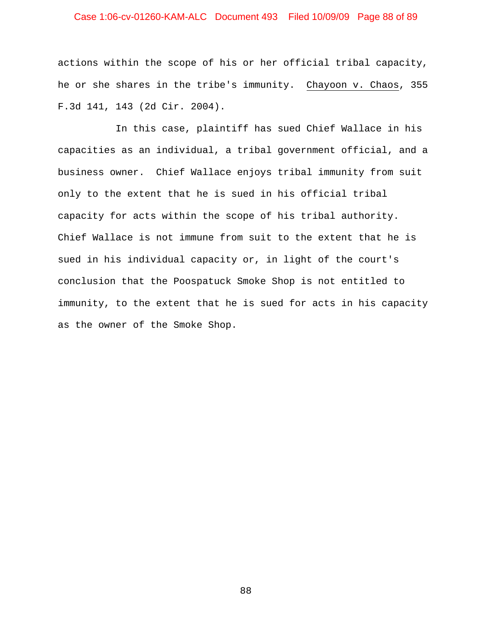## Case 1:06-cv-01260-KAM-ALC Document 493 Filed 10/09/09 Page 88 of 89

actions within the scope of his or her official tribal capacity, he or she shares in the tribe's immunity. Chayoon v. Chaos, 355 F.3d 141, 143 (2d Cir. 2004).

In this case, plaintiff has sued Chief Wallace in his capacities as an individual, a tribal government official, and a business owner. Chief Wallace enjoys tribal immunity from suit only to the extent that he is sued in his official tribal capacity for acts within the scope of his tribal authority. Chief Wallace is not immune from suit to the extent that he is sued in his individual capacity or, in light of the court's conclusion that the Poospatuck Smoke Shop is not entitled to immunity, to the extent that he is sued for acts in his capacity as the owner of the Smoke Shop.